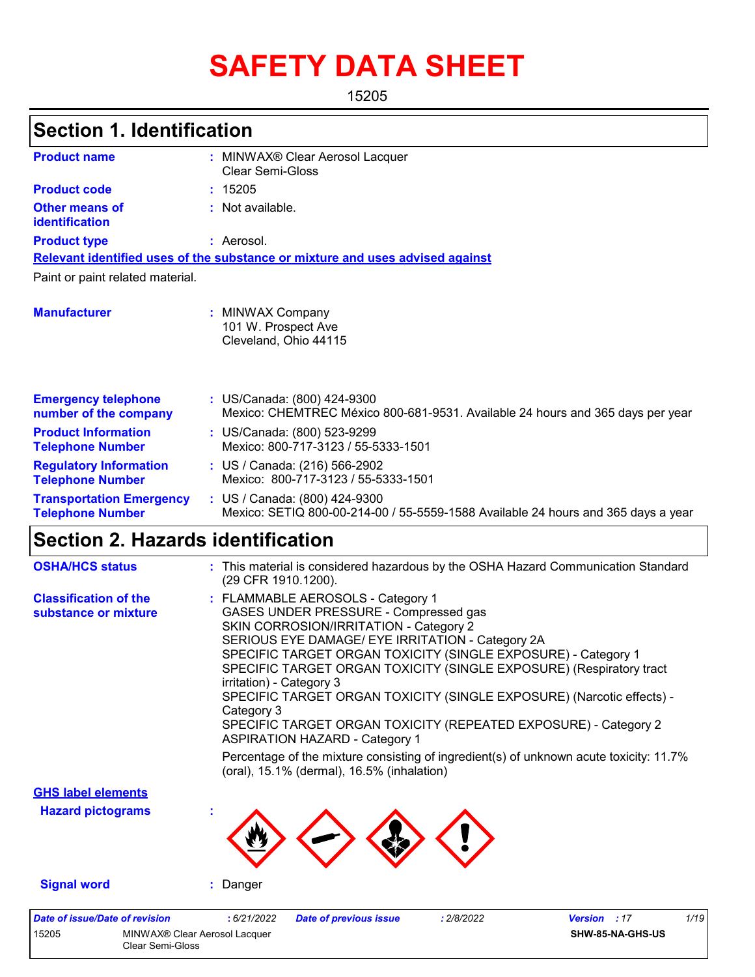# **SAFETY DATA SHEET**

15205

#### MINWAX® Clear Aerosol Lacquer **:** Clear Semi-Gloss **:** Not available. Aerosol. **:** US/Canada: (800) 424-9300 **:** Mexico: CHEMTREC México 800-681-9531. Available 24 hours and 365 days per year **Product name Other means of identification Product type Emergency telephone number of the company Section 1. Identification Manufacturer :** MINWAX Company 101 W. Prospect Ave Cleveland, Ohio 44115 **Relevant identified uses of the substance or mixture and uses advised against** Paint or paint related material. **Product code :** 15205 **Product Information Telephone Number :** US/Canada: (800) 523-9299 Mexico: 800-717-3123 / 55-5333-1501 **Regulatory Information Telephone Number :** US / Canada: (216) 566-2902 Mexico: 800-717-3123 / 55-5333-1501 **Transportation Emergency Telephone Number :** US / Canada: (800) 424-9300 Mexico: SETIQ 800-00-214-00 / 55-5559-1588 Available 24 hours and 365 days a year **Section 2. Hazards identification** FLAMMABLE AEROSOLS - Category 1 **:** GASES UNDER PRESSURE - Compressed gas SKIN CORROSION/IRRITATION - Category 2 SERIOUS EYE DAMAGE/ EYE IRRITATION - Category 2A SPECIFIC TARGET ORGAN TOXICITY (SINGLE EXPOSURE) - Category 1 **Classification of the substance or mixture OSHA/HCS status :** This material is considered hazardous by the OSHA Hazard Communication Standard (29 CFR 1910.1200).

SPECIFIC TARGET ORGAN TOXICITY (SINGLE EXPOSURE) (Respiratory tract irritation) - Category 3 SPECIFIC TARGET ORGAN TOXICITY (SINGLE EXPOSURE) (Narcotic effects) - Category 3 SPECIFIC TARGET ORGAN TOXICITY (REPEATED EXPOSURE) - Category 2 ASPIRATION HAZARD - Category 1 **Signal word :** Danger **Hazard pictograms : GHS label elements** Percentage of the mixture consisting of ingredient(s) of unknown acute toxicity: 11.7% (oral), 15.1% (dermal), 16.5% (inhalation) *Date of issue/Date of revision* **:** *6/21/2022 Date of previous issue : 2/8/2022 Version : 17 1/19*

15205 MINWAX® Clear Aerosol Lacquer Clear Semi-Gloss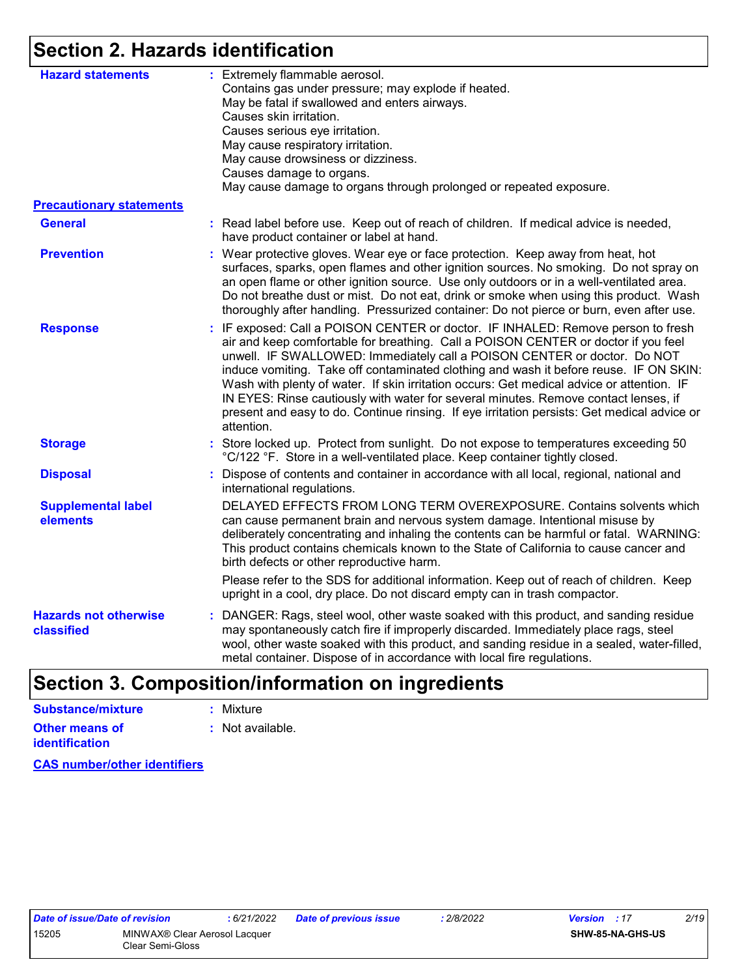## **Section 2. Hazards identification**

| <b>Hazard statements</b>                   | : Extremely flammable aerosol.<br>Contains gas under pressure; may explode if heated.<br>May be fatal if swallowed and enters airways.<br>Causes skin irritation.<br>Causes serious eye irritation.<br>May cause respiratory irritation.<br>May cause drowsiness or dizziness.<br>Causes damage to organs.<br>May cause damage to organs through prolonged or repeated exposure.                                                                                                                                                                                                                                                             |
|--------------------------------------------|----------------------------------------------------------------------------------------------------------------------------------------------------------------------------------------------------------------------------------------------------------------------------------------------------------------------------------------------------------------------------------------------------------------------------------------------------------------------------------------------------------------------------------------------------------------------------------------------------------------------------------------------|
| <b>Precautionary statements</b>            |                                                                                                                                                                                                                                                                                                                                                                                                                                                                                                                                                                                                                                              |
| <b>General</b>                             | : Read label before use. Keep out of reach of children. If medical advice is needed,<br>have product container or label at hand.                                                                                                                                                                                                                                                                                                                                                                                                                                                                                                             |
| <b>Prevention</b>                          | : Wear protective gloves. Wear eye or face protection. Keep away from heat, hot<br>surfaces, sparks, open flames and other ignition sources. No smoking. Do not spray on<br>an open flame or other ignition source. Use only outdoors or in a well-ventilated area.<br>Do not breathe dust or mist. Do not eat, drink or smoke when using this product. Wash<br>thoroughly after handling. Pressurized container: Do not pierce or burn, even after use.                                                                                                                                                                                     |
| <b>Response</b>                            | : IF exposed: Call a POISON CENTER or doctor. IF INHALED: Remove person to fresh<br>air and keep comfortable for breathing. Call a POISON CENTER or doctor if you feel<br>unwell. IF SWALLOWED: Immediately call a POISON CENTER or doctor. Do NOT<br>induce vomiting. Take off contaminated clothing and wash it before reuse. IF ON SKIN:<br>Wash with plenty of water. If skin irritation occurs: Get medical advice or attention. IF<br>IN EYES: Rinse cautiously with water for several minutes. Remove contact lenses, if<br>present and easy to do. Continue rinsing. If eye irritation persists: Get medical advice or<br>attention. |
| <b>Storage</b>                             | : Store locked up. Protect from sunlight. Do not expose to temperatures exceeding 50<br>°C/122 °F. Store in a well-ventilated place. Keep container tightly closed.                                                                                                                                                                                                                                                                                                                                                                                                                                                                          |
| <b>Disposal</b>                            | : Dispose of contents and container in accordance with all local, regional, national and<br>international regulations.                                                                                                                                                                                                                                                                                                                                                                                                                                                                                                                       |
| <b>Supplemental label</b><br>elements      | DELAYED EFFECTS FROM LONG TERM OVEREXPOSURE. Contains solvents which<br>can cause permanent brain and nervous system damage. Intentional misuse by<br>deliberately concentrating and inhaling the contents can be harmful or fatal. WARNING:<br>This product contains chemicals known to the State of California to cause cancer and<br>birth defects or other reproductive harm.                                                                                                                                                                                                                                                            |
|                                            | Please refer to the SDS for additional information. Keep out of reach of children. Keep<br>upright in a cool, dry place. Do not discard empty can in trash compactor.                                                                                                                                                                                                                                                                                                                                                                                                                                                                        |
| <b>Hazards not otherwise</b><br>classified | : DANGER: Rags, steel wool, other waste soaked with this product, and sanding residue<br>may spontaneously catch fire if improperly discarded. Immediately place rags, steel<br>wool, other waste soaked with this product, and sanding residue in a sealed, water-filled,<br>metal container. Dispose of in accordance with local fire regulations.                                                                                                                                                                                                                                                                                         |

## **Section 3. Composition/information on ingredients**

| Substance/mixture     | : Mixture                   |
|-----------------------|-----------------------------|
| <b>Other means of</b> | $\therefore$ Not available. |
| <b>identification</b> |                             |

**CAS number/other identifiers**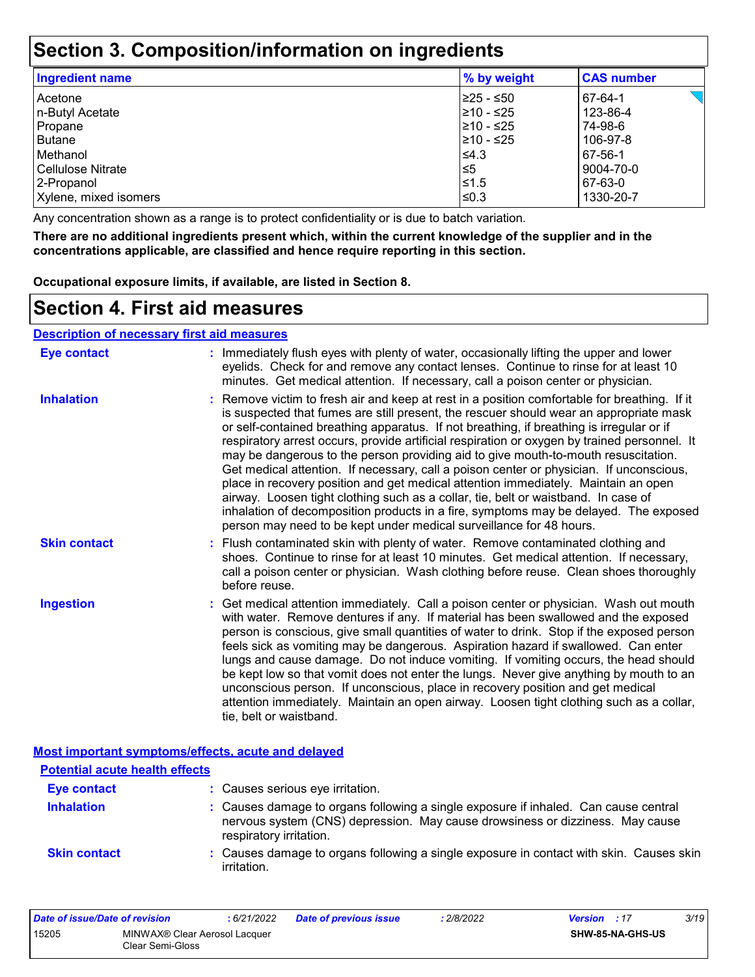### **Section 3. Composition/information on ingredients**

| <b>Ingredient name</b> | % by weight | <b>CAS number</b> |
|------------------------|-------------|-------------------|
| Acetone                | 225 - ≤50   | 67-64-1           |
| n-Butyl Acetate        | 210 - ≤25   | 123-86-4          |
| Propane                | 210 - ≤25   | 74-98-6           |
| Butane                 | 210 - ≤25   | 106-97-8          |
| Methanol               | $\leq 4.3$  | 67-56-1           |
| l Cellulose Nitrate    | l≤5         | 9004-70-0         |
| 2-Propanol             | l≤1.5       | 67-63-0           |
| Xylene, mixed isomers  | ≤0.3        | 1330-20-7         |

Any concentration shown as a range is to protect confidentiality or is due to batch variation.

**There are no additional ingredients present which, within the current knowledge of the supplier and in the concentrations applicable, are classified and hence require reporting in this section.**

**Occupational exposure limits, if available, are listed in Section 8.**

### **Section 4. First aid measures**

#### **Description of necessary first aid measures**

| <b>Eye contact</b>  | : Immediately flush eyes with plenty of water, occasionally lifting the upper and lower<br>eyelids. Check for and remove any contact lenses. Continue to rinse for at least 10<br>minutes. Get medical attention. If necessary, call a poison center or physician.                                                                                                                                                                                                                                                                                                                                                                                                                                                                                                                                                                                                                                             |
|---------------------|----------------------------------------------------------------------------------------------------------------------------------------------------------------------------------------------------------------------------------------------------------------------------------------------------------------------------------------------------------------------------------------------------------------------------------------------------------------------------------------------------------------------------------------------------------------------------------------------------------------------------------------------------------------------------------------------------------------------------------------------------------------------------------------------------------------------------------------------------------------------------------------------------------------|
| <b>Inhalation</b>   | : Remove victim to fresh air and keep at rest in a position comfortable for breathing. If it<br>is suspected that fumes are still present, the rescuer should wear an appropriate mask<br>or self-contained breathing apparatus. If not breathing, if breathing is irregular or if<br>respiratory arrest occurs, provide artificial respiration or oxygen by trained personnel. It<br>may be dangerous to the person providing aid to give mouth-to-mouth resuscitation.<br>Get medical attention. If necessary, call a poison center or physician. If unconscious,<br>place in recovery position and get medical attention immediately. Maintain an open<br>airway. Loosen tight clothing such as a collar, tie, belt or waistband. In case of<br>inhalation of decomposition products in a fire, symptoms may be delayed. The exposed<br>person may need to be kept under medical surveillance for 48 hours. |
| <b>Skin contact</b> | : Flush contaminated skin with plenty of water. Remove contaminated clothing and<br>shoes. Continue to rinse for at least 10 minutes. Get medical attention. If necessary,<br>call a poison center or physician. Wash clothing before reuse. Clean shoes thoroughly<br>before reuse.                                                                                                                                                                                                                                                                                                                                                                                                                                                                                                                                                                                                                           |
| <b>Ingestion</b>    | : Get medical attention immediately. Call a poison center or physician. Wash out mouth<br>with water. Remove dentures if any. If material has been swallowed and the exposed<br>person is conscious, give small quantities of water to drink. Stop if the exposed person<br>feels sick as vomiting may be dangerous. Aspiration hazard if swallowed. Can enter<br>lungs and cause damage. Do not induce vomiting. If vomiting occurs, the head should<br>be kept low so that vomit does not enter the lungs. Never give anything by mouth to an<br>unconscious person. If unconscious, place in recovery position and get medical<br>attention immediately. Maintain an open airway. Loosen tight clothing such as a collar,<br>tie, belt or waistband.                                                                                                                                                        |

|                                       | Most important symptoms/effects, acute and delayed                                                                                                                                              |
|---------------------------------------|-------------------------------------------------------------------------------------------------------------------------------------------------------------------------------------------------|
| <b>Potential acute health effects</b> |                                                                                                                                                                                                 |
| <b>Eye contact</b>                    | : Causes serious eye irritation.                                                                                                                                                                |
| <b>Inhalation</b>                     | : Causes damage to organs following a single exposure if inhaled. Can cause central<br>nervous system (CNS) depression. May cause drowsiness or dizziness. May cause<br>respiratory irritation. |
| <b>Skin contact</b>                   | : Causes damage to organs following a single exposure in contact with skin. Causes skin<br>irritation.                                                                                          |

| Date of issue/Date of revision |                                                               | : 6/21/2022 | <b>Date of previous issue</b> | : 2/8/2022 | <b>Version</b> : 17 |                  | 3/19 |
|--------------------------------|---------------------------------------------------------------|-------------|-------------------------------|------------|---------------------|------------------|------|
| 15205                          | MINWAX <sup>®</sup> Clear Aerosol Lacquer<br>Clear Semi-Gloss |             |                               |            |                     | SHW-85-NA-GHS-US |      |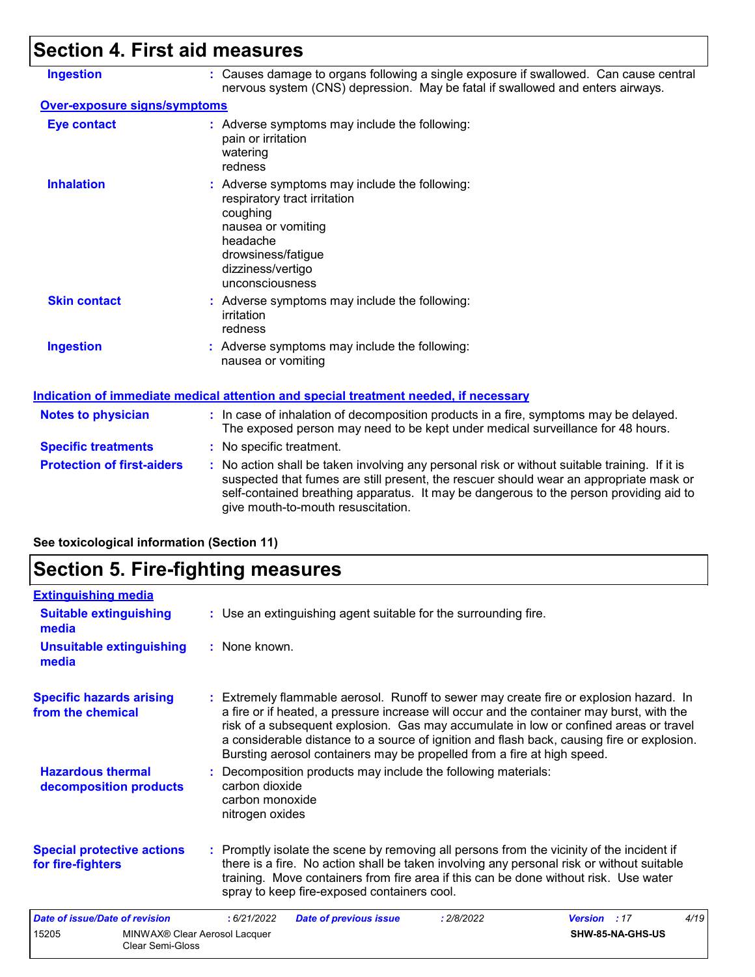## **Section 4. First aid measures**

| <b>Ingestion</b>                    | : Causes damage to organs following a single exposure if swallowed. Can cause central<br>nervous system (CNS) depression. May be fatal if swallowed and enters airways.                                                                                                                                                 |  |  |  |  |
|-------------------------------------|-------------------------------------------------------------------------------------------------------------------------------------------------------------------------------------------------------------------------------------------------------------------------------------------------------------------------|--|--|--|--|
| <b>Over-exposure signs/symptoms</b> |                                                                                                                                                                                                                                                                                                                         |  |  |  |  |
| <b>Eye contact</b>                  | : Adverse symptoms may include the following:<br>pain or irritation<br>watering<br>redness                                                                                                                                                                                                                              |  |  |  |  |
| <b>Inhalation</b>                   | : Adverse symptoms may include the following:<br>respiratory tract irritation<br>coughing<br>nausea or vomiting<br>headache<br>drowsiness/fatigue<br>dizziness/vertigo<br>unconsciousness                                                                                                                               |  |  |  |  |
| <b>Skin contact</b>                 | : Adverse symptoms may include the following:<br>irritation<br>redness                                                                                                                                                                                                                                                  |  |  |  |  |
| <b>Ingestion</b>                    | : Adverse symptoms may include the following:<br>nausea or vomiting                                                                                                                                                                                                                                                     |  |  |  |  |
|                                     | Indication of immediate medical attention and special treatment needed, if necessary                                                                                                                                                                                                                                    |  |  |  |  |
| <b>Notes to physician</b>           | : In case of inhalation of decomposition products in a fire, symptoms may be delayed.<br>The exposed person may need to be kept under medical surveillance for 48 hours.                                                                                                                                                |  |  |  |  |
| <b>Specific treatments</b>          | : No specific treatment.                                                                                                                                                                                                                                                                                                |  |  |  |  |
| <b>Protection of first-aiders</b>   | : No action shall be taken involving any personal risk or without suitable training. If it is<br>suspected that fumes are still present, the rescuer should wear an appropriate mask or<br>self-contained breathing apparatus. It may be dangerous to the person providing aid to<br>give mouth-to-mouth resuscitation. |  |  |  |  |

### **See toxicological information (Section 11)**

## **Section 5. Fire-fighting measures**

| <b>Extinguishing media</b>                             |                                                                                                                                                                                                                                                                                                                                                                                                                                                       |                     |                  |      |
|--------------------------------------------------------|-------------------------------------------------------------------------------------------------------------------------------------------------------------------------------------------------------------------------------------------------------------------------------------------------------------------------------------------------------------------------------------------------------------------------------------------------------|---------------------|------------------|------|
| <b>Suitable extinguishing</b><br>media                 | : Use an extinguishing agent suitable for the surrounding fire.                                                                                                                                                                                                                                                                                                                                                                                       |                     |                  |      |
| <b>Unsuitable extinguishing</b><br>media               | : None known.                                                                                                                                                                                                                                                                                                                                                                                                                                         |                     |                  |      |
| <b>Specific hazards arising</b><br>from the chemical   | : Extremely flammable aerosol. Runoff to sewer may create fire or explosion hazard. In<br>a fire or if heated, a pressure increase will occur and the container may burst, with the<br>risk of a subsequent explosion. Gas may accumulate in low or confined areas or travel<br>a considerable distance to a source of ignition and flash back, causing fire or explosion.<br>Bursting aerosol containers may be propelled from a fire at high speed. |                     |                  |      |
| <b>Hazardous thermal</b><br>decomposition products     | : Decomposition products may include the following materials:<br>carbon dioxide<br>carbon monoxide<br>nitrogen oxides                                                                                                                                                                                                                                                                                                                                 |                     |                  |      |
| <b>Special protective actions</b><br>for fire-fighters | : Promptly isolate the scene by removing all persons from the vicinity of the incident if<br>there is a fire. No action shall be taken involving any personal risk or without suitable<br>training. Move containers from fire area if this can be done without risk. Use water<br>spray to keep fire-exposed containers cool.                                                                                                                         |                     |                  |      |
| Date of issue/Date of revision                         | :6/21/2022<br><b>Date of previous issue</b><br>: 2/8/2022                                                                                                                                                                                                                                                                                                                                                                                             | <b>Version</b> : 17 |                  | 4/19 |
| 15205<br><b>Clear Semi-Gloss</b>                       | MINWAX® Clear Aerosol Lacquer                                                                                                                                                                                                                                                                                                                                                                                                                         |                     | SHW-85-NA-GHS-US |      |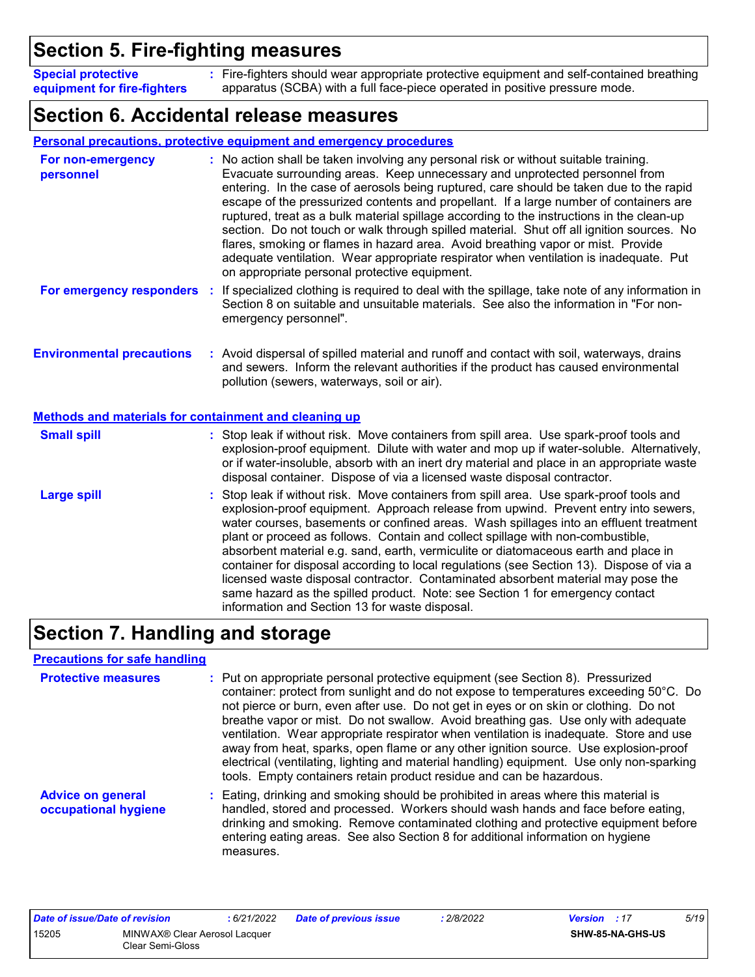### **Section 5. Fire-fighting measures**

Fire-fighters should wear appropriate protective equipment and self-contained breathing **:** apparatus (SCBA) with a full face-piece operated in positive pressure mode. **Special protective equipment for fire-fighters**

### **Section 6. Accidental release measures**

|                                                                                                  | <b>Personal precautions, protective equipment and emergency procedures</b>                                                                                                                                                                                                                                                                                                                                                                                                                                                                                                                                                                                                                                                                                                       |
|--------------------------------------------------------------------------------------------------|----------------------------------------------------------------------------------------------------------------------------------------------------------------------------------------------------------------------------------------------------------------------------------------------------------------------------------------------------------------------------------------------------------------------------------------------------------------------------------------------------------------------------------------------------------------------------------------------------------------------------------------------------------------------------------------------------------------------------------------------------------------------------------|
| For non-emergency<br>personnel                                                                   | : No action shall be taken involving any personal risk or without suitable training.<br>Evacuate surrounding areas. Keep unnecessary and unprotected personnel from<br>entering. In the case of aerosols being ruptured, care should be taken due to the rapid<br>escape of the pressurized contents and propellant. If a large number of containers are<br>ruptured, treat as a bulk material spillage according to the instructions in the clean-up<br>section. Do not touch or walk through spilled material. Shut off all ignition sources. No<br>flares, smoking or flames in hazard area. Avoid breathing vapor or mist. Provide<br>adequate ventilation. Wear appropriate respirator when ventilation is inadequate. Put<br>on appropriate personal protective equipment. |
| For emergency responders                                                                         | If specialized clothing is required to deal with the spillage, take note of any information in<br>÷<br>Section 8 on suitable and unsuitable materials. See also the information in "For non-<br>emergency personnel".                                                                                                                                                                                                                                                                                                                                                                                                                                                                                                                                                            |
| <b>Environmental precautions</b><br><b>Methods and materials for containment and cleaning up</b> | : Avoid dispersal of spilled material and runoff and contact with soil, waterways, drains<br>and sewers. Inform the relevant authorities if the product has caused environmental<br>pollution (sewers, waterways, soil or air).                                                                                                                                                                                                                                                                                                                                                                                                                                                                                                                                                  |
| <b>Small spill</b>                                                                               | : Stop leak if without risk. Move containers from spill area. Use spark-proof tools and<br>explosion-proof equipment. Dilute with water and mop up if water-soluble. Alternatively,<br>or if water-insoluble, absorb with an inert dry material and place in an appropriate waste<br>disposal container. Dispose of via a licensed waste disposal contractor.                                                                                                                                                                                                                                                                                                                                                                                                                    |
| <b>Large spill</b>                                                                               | : Stop leak if without risk. Move containers from spill area. Use spark-proof tools and<br>explosion-proof equipment. Approach release from upwind. Prevent entry into sewers,<br>water courses, basements or confined areas. Wash spillages into an effluent treatment<br>plant or proceed as follows. Contain and collect spillage with non-combustible,<br>absorbent material e.g. sand, earth, vermiculite or diatomaceous earth and place in<br>container for disposal according to local regulations (see Section 13). Dispose of via a<br>licensed waste disposal contractor. Contaminated absorbent material may pose the<br>same hazard as the spilled product. Note: see Section 1 for emergency contact<br>information and Section 13 for waste disposal.             |

### **Section 7. Handling and storage**

#### **Precautions for safe handling**

| <b>Protective measures</b>                       | : Put on appropriate personal protective equipment (see Section 8). Pressurized<br>container: protect from sunlight and do not expose to temperatures exceeding 50°C. Do<br>not pierce or burn, even after use. Do not get in eyes or on skin or clothing. Do not<br>breathe vapor or mist. Do not swallow. Avoid breathing gas. Use only with adequate<br>ventilation. Wear appropriate respirator when ventilation is inadequate. Store and use<br>away from heat, sparks, open flame or any other ignition source. Use explosion-proof<br>electrical (ventilating, lighting and material handling) equipment. Use only non-sparking<br>tools. Empty containers retain product residue and can be hazardous. |
|--------------------------------------------------|----------------------------------------------------------------------------------------------------------------------------------------------------------------------------------------------------------------------------------------------------------------------------------------------------------------------------------------------------------------------------------------------------------------------------------------------------------------------------------------------------------------------------------------------------------------------------------------------------------------------------------------------------------------------------------------------------------------|
| <b>Advice on general</b><br>occupational hygiene | : Eating, drinking and smoking should be prohibited in areas where this material is<br>handled, stored and processed. Workers should wash hands and face before eating,<br>drinking and smoking. Remove contaminated clothing and protective equipment before<br>entering eating areas. See also Section 8 for additional information on hygiene<br>measures.                                                                                                                                                                                                                                                                                                                                                  |

| Date of issue/Date of revision |                                                   | : 6/21/2022 | <b>Date of previous issue</b> | 2/8/2022 | <b>Version</b> : 17 |                         | 5/19 |
|--------------------------------|---------------------------------------------------|-------------|-------------------------------|----------|---------------------|-------------------------|------|
| 15205                          | MINWAX® Clear Aerosol Lacquer<br>Clear Semi-Gloss |             |                               |          |                     | <b>SHW-85-NA-GHS-US</b> |      |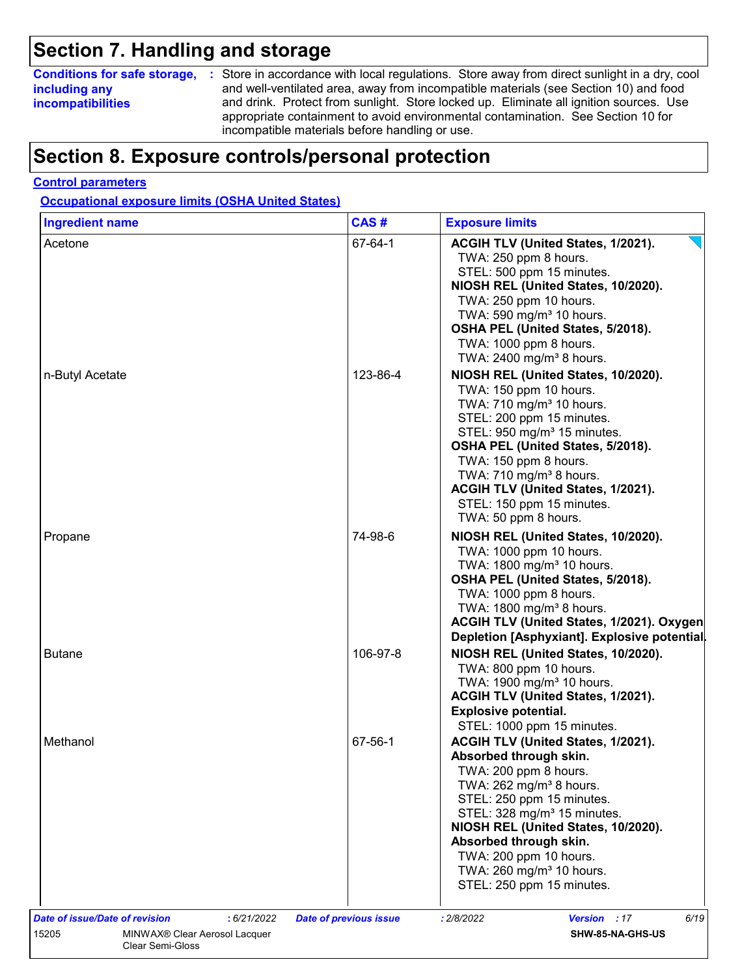### **Section 7. Handling and storage**

### **including any incompatibilities**

**Conditions for safe storage,** : Store in accordance with local regulations. Store away from direct sunlight in a dry, cool and well-ventilated area, away from incompatible materials (see Section 10) and food and drink. Protect from sunlight. Store locked up. Eliminate all ignition sources. Use appropriate containment to avoid environmental contamination. See Section 10 for incompatible materials before handling or use.

### **Section 8. Exposure controls/personal protection**

#### **Control parameters**

**Occupational exposure limits (OSHA United States)**

| <b>Ingredient name</b>                               | CAS#                          | <b>Exposure limits</b>                                                                    |
|------------------------------------------------------|-------------------------------|-------------------------------------------------------------------------------------------|
| Acetone                                              | 67-64-1                       | ACGIH TLV (United States, 1/2021).<br>TWA: 250 ppm 8 hours.<br>STEL: 500 ppm 15 minutes.  |
|                                                      |                               | NIOSH REL (United States, 10/2020).<br>TWA: 250 ppm 10 hours.                             |
|                                                      |                               | TWA: 590 mg/m <sup>3</sup> 10 hours.                                                      |
|                                                      |                               | OSHA PEL (United States, 5/2018).                                                         |
|                                                      |                               | TWA: 1000 ppm 8 hours.                                                                    |
|                                                      |                               | TWA: 2400 mg/m <sup>3</sup> 8 hours.                                                      |
| n-Butyl Acetate                                      | 123-86-4                      | NIOSH REL (United States, 10/2020).                                                       |
|                                                      |                               | TWA: 150 ppm 10 hours.                                                                    |
|                                                      |                               | TWA: 710 mg/m <sup>3</sup> 10 hours.<br>STEL: 200 ppm 15 minutes.                         |
|                                                      |                               | STEL: 950 mg/m <sup>3</sup> 15 minutes.                                                   |
|                                                      |                               | OSHA PEL (United States, 5/2018).                                                         |
|                                                      |                               | TWA: 150 ppm 8 hours.                                                                     |
|                                                      |                               | TWA: 710 mg/m <sup>3</sup> 8 hours.                                                       |
|                                                      |                               | ACGIH TLV (United States, 1/2021).                                                        |
|                                                      |                               | STEL: 150 ppm 15 minutes.<br>TWA: 50 ppm 8 hours.                                         |
| Propane                                              | 74-98-6                       | NIOSH REL (United States, 10/2020).                                                       |
|                                                      |                               | TWA: 1000 ppm 10 hours.                                                                   |
|                                                      |                               | TWA: 1800 mg/m <sup>3</sup> 10 hours.                                                     |
|                                                      |                               | OSHA PEL (United States, 5/2018).                                                         |
|                                                      |                               | TWA: 1000 ppm 8 hours.                                                                    |
|                                                      |                               | TWA: 1800 mg/m <sup>3</sup> 8 hours.                                                      |
|                                                      |                               | ACGIH TLV (United States, 1/2021). Oxygen<br>Depletion [Asphyxiant]. Explosive potential. |
| <b>Butane</b>                                        | 106-97-8                      | NIOSH REL (United States, 10/2020).                                                       |
|                                                      |                               | TWA: 800 ppm 10 hours.                                                                    |
|                                                      |                               | TWA: 1900 mg/m <sup>3</sup> 10 hours.                                                     |
|                                                      |                               | ACGIH TLV (United States, 1/2021).                                                        |
|                                                      |                               | <b>Explosive potential.</b>                                                               |
|                                                      |                               | STEL: 1000 ppm 15 minutes.                                                                |
| Methanol                                             | 67-56-1                       | ACGIH TLV (United States, 1/2021).                                                        |
|                                                      |                               | Absorbed through skin.                                                                    |
|                                                      |                               | TWA: 200 ppm 8 hours.                                                                     |
|                                                      |                               | TWA: 262 mg/m <sup>3</sup> 8 hours.<br>STEL: 250 ppm 15 minutes.                          |
|                                                      |                               | STEL: 328 mg/m <sup>3</sup> 15 minutes.                                                   |
|                                                      |                               | NIOSH REL (United States, 10/2020).                                                       |
|                                                      |                               | Absorbed through skin.                                                                    |
|                                                      |                               | TWA: 200 ppm 10 hours.                                                                    |
|                                                      |                               | TWA: 260 mg/m <sup>3</sup> 10 hours.                                                      |
|                                                      |                               | STEL: 250 ppm 15 minutes.                                                                 |
| <b>Date of issue/Date of revision</b><br>: 6/21/2022 | <b>Date of previous issue</b> | : 2/8/2022<br>Version : 17<br>6/19                                                        |
|                                                      |                               |                                                                                           |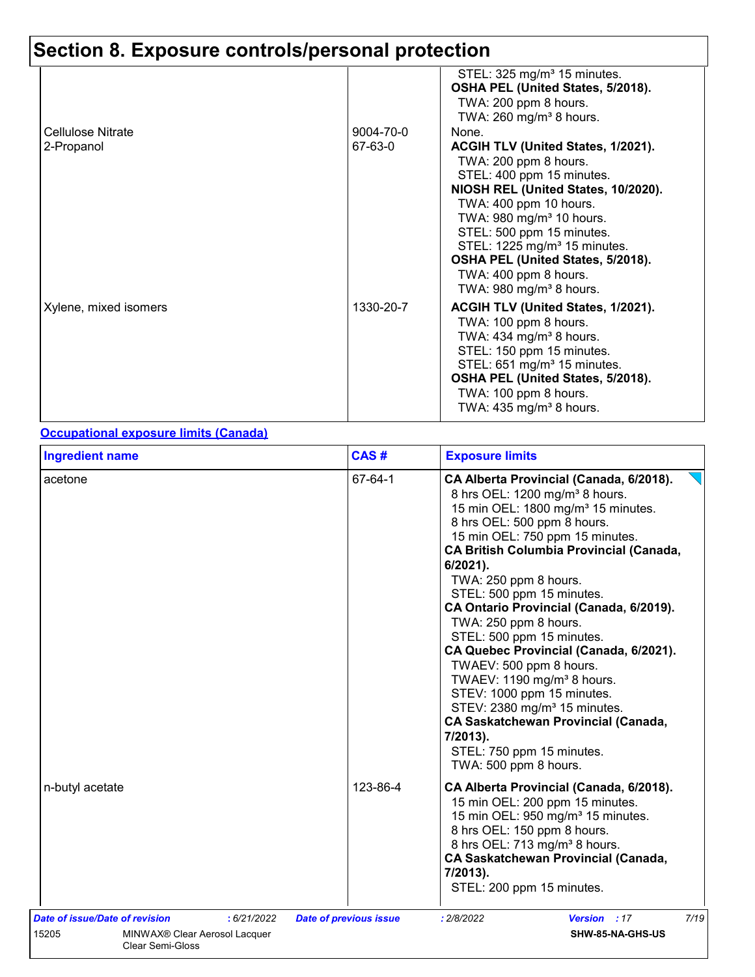|                                 |                      | STEL: 325 mg/m <sup>3</sup> 15 minutes.<br>OSHA PEL (United States, 5/2018).<br>TWA: 200 ppm 8 hours.<br>TWA: $260$ mg/m <sup>3</sup> 8 hours.                                                                                                                                                                                                                                           |
|---------------------------------|----------------------|------------------------------------------------------------------------------------------------------------------------------------------------------------------------------------------------------------------------------------------------------------------------------------------------------------------------------------------------------------------------------------------|
| Cellulose Nitrate<br>2-Propanol | 9004-70-0<br>67-63-0 | None.<br>ACGIH TLV (United States, 1/2021).<br>TWA: 200 ppm 8 hours.<br>STEL: 400 ppm 15 minutes.<br>NIOSH REL (United States, 10/2020).<br>TWA: 400 ppm 10 hours.<br>TWA: 980 mg/m <sup>3</sup> 10 hours.<br>STEL: 500 ppm 15 minutes.<br>STEL: 1225 mg/m <sup>3</sup> 15 minutes.<br>OSHA PEL (United States, 5/2018).<br>TWA: 400 ppm 8 hours.<br>TWA: 980 mg/m <sup>3</sup> 8 hours. |
| Xylene, mixed isomers           | 1330-20-7            | ACGIH TLV (United States, 1/2021).<br>TWA: 100 ppm 8 hours.<br>TWA: 434 mg/m <sup>3</sup> 8 hours.<br>STEL: 150 ppm 15 minutes.<br>STEL: 651 mg/m <sup>3</sup> 15 minutes.<br>OSHA PEL (United States, 5/2018).<br>TWA: 100 ppm 8 hours.<br>TWA: $435 \text{ mg/m}^3$ 8 hours.                                                                                                           |

#### **Occupational exposure limits (Canada)**

| acetone                                                                                |                               |                                                                                                                                                                                                                                                                                                                                                                                                                                                                                                                                                                                                                                                                                                                                         |
|----------------------------------------------------------------------------------------|-------------------------------|-----------------------------------------------------------------------------------------------------------------------------------------------------------------------------------------------------------------------------------------------------------------------------------------------------------------------------------------------------------------------------------------------------------------------------------------------------------------------------------------------------------------------------------------------------------------------------------------------------------------------------------------------------------------------------------------------------------------------------------------|
|                                                                                        | 67-64-1                       | CA Alberta Provincial (Canada, 6/2018).<br>8 hrs OEL: 1200 mg/m <sup>3</sup> 8 hours.<br>15 min OEL: 1800 mg/m <sup>3</sup> 15 minutes.<br>8 hrs OEL: 500 ppm 8 hours.<br>15 min OEL: 750 ppm 15 minutes.<br><b>CA British Columbia Provincial (Canada,</b><br>6/2021).<br>TWA: 250 ppm 8 hours.<br>STEL: 500 ppm 15 minutes.<br>CA Ontario Provincial (Canada, 6/2019).<br>TWA: 250 ppm 8 hours.<br>STEL: 500 ppm 15 minutes.<br>CA Quebec Provincial (Canada, 6/2021).<br>TWAEV: 500 ppm 8 hours.<br>TWAEV: 1190 mg/m <sup>3</sup> 8 hours.<br>STEV: 1000 ppm 15 minutes.<br>STEV: 2380 mg/m <sup>3</sup> 15 minutes.<br><b>CA Saskatchewan Provincial (Canada,</b><br>7/2013).<br>STEL: 750 ppm 15 minutes.<br>TWA: 500 ppm 8 hours. |
| n-butyl acetate                                                                        | 123-86-4                      | CA Alberta Provincial (Canada, 6/2018).<br>15 min OEL: 200 ppm 15 minutes.<br>15 min OEL: 950 mg/m <sup>3</sup> 15 minutes.<br>8 hrs OEL: 150 ppm 8 hours.<br>8 hrs OEL: 713 mg/m <sup>3</sup> 8 hours.<br><b>CA Saskatchewan Provincial (Canada,</b><br>7/2013).<br>STEL: 200 ppm 15 minutes.                                                                                                                                                                                                                                                                                                                                                                                                                                          |
| Date of issue/Date of revision<br>:6/21/2022<br>15205<br>MINWAX® Clear Aerosol Lacquer | <b>Date of previous issue</b> | 7/19<br>Version : 17<br>: 2/8/2022<br>SHW-85-NA-GHS-US                                                                                                                                                                                                                                                                                                                                                                                                                                                                                                                                                                                                                                                                                  |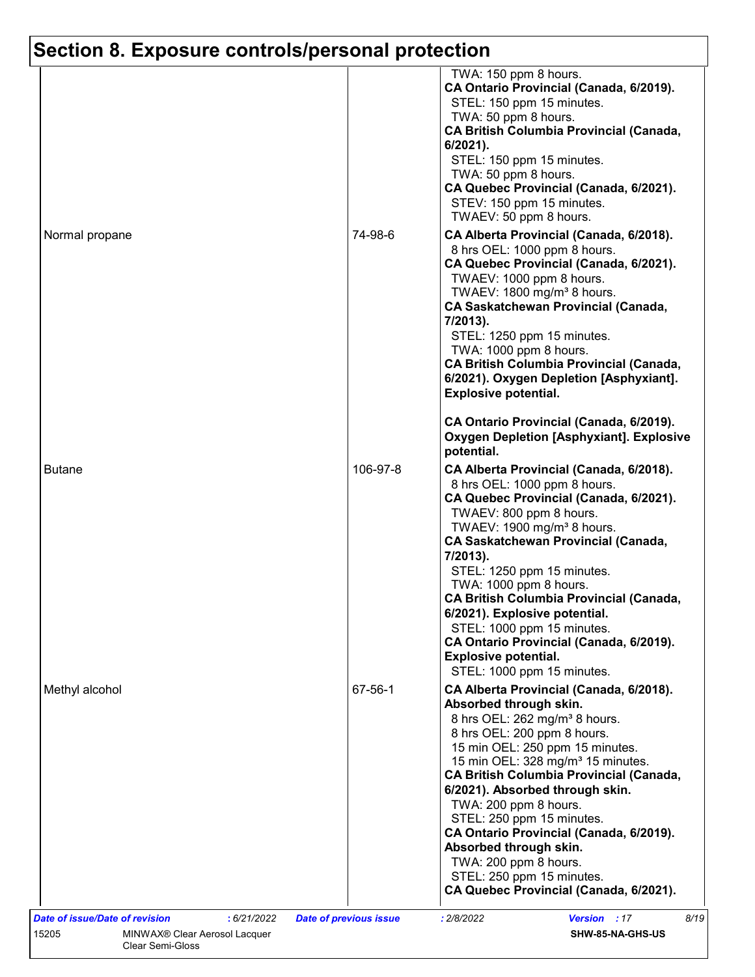|                |          | TWA: 150 ppm 8 hours.<br>CA Ontario Provincial (Canada, 6/2019).<br>STEL: 150 ppm 15 minutes.<br>TWA: 50 ppm 8 hours.                                                                                                                                                                                                                                                                                                                                                                                                                             |
|----------------|----------|---------------------------------------------------------------------------------------------------------------------------------------------------------------------------------------------------------------------------------------------------------------------------------------------------------------------------------------------------------------------------------------------------------------------------------------------------------------------------------------------------------------------------------------------------|
| Normal propane | 74-98-6  | <b>CA British Columbia Provincial (Canada,</b><br>$6/2021$ ).<br>STEL: 150 ppm 15 minutes.<br>TWA: 50 ppm 8 hours.<br>CA Quebec Provincial (Canada, 6/2021).<br>STEV: 150 ppm 15 minutes.<br>TWAEV: 50 ppm 8 hours.<br>CA Alberta Provincial (Canada, 6/2018).<br>8 hrs OEL: 1000 ppm 8 hours.<br>CA Quebec Provincial (Canada, 6/2021).<br>TWAEV: 1000 ppm 8 hours.<br>TWAEV: $1800 \text{ mg/m}^3$ 8 hours.<br><b>CA Saskatchewan Provincial (Canada,</b><br>7/2013).<br>STEL: 1250 ppm 15 minutes.<br>TWA: 1000 ppm 8 hours.                   |
| <b>Butane</b>  | 106-97-8 | <b>CA British Columbia Provincial (Canada,</b><br>6/2021). Oxygen Depletion [Asphyxiant].<br><b>Explosive potential.</b><br>CA Ontario Provincial (Canada, 6/2019).<br><b>Oxygen Depletion [Asphyxiant]. Explosive</b><br>potential.<br>CA Alberta Provincial (Canada, 6/2018).<br>8 hrs OEL: 1000 ppm 8 hours.                                                                                                                                                                                                                                   |
|                |          | CA Quebec Provincial (Canada, 6/2021).<br>TWAEV: 800 ppm 8 hours.<br>TWAEV: 1900 mg/m <sup>3</sup> 8 hours.<br><b>CA Saskatchewan Provincial (Canada,</b><br>7/2013).<br>STEL: 1250 ppm 15 minutes.<br>TWA: 1000 ppm 8 hours.<br><b>CA British Columbia Provincial (Canada,</b><br>6/2021). Explosive potential.<br>STEL: 1000 ppm 15 minutes.<br>CA Ontario Provincial (Canada, 6/2019).<br><b>Explosive potential.</b><br>STEL: 1000 ppm 15 minutes.                                                                                            |
| Methyl alcohol | 67-56-1  | CA Alberta Provincial (Canada, 6/2018).<br>Absorbed through skin.<br>8 hrs OEL: 262 mg/m <sup>3</sup> 8 hours.<br>8 hrs OEL: 200 ppm 8 hours.<br>15 min OEL: 250 ppm 15 minutes.<br>15 min OEL: 328 mg/m <sup>3</sup> 15 minutes.<br><b>CA British Columbia Provincial (Canada,</b><br>6/2021). Absorbed through skin.<br>TWA: 200 ppm 8 hours.<br>STEL: 250 ppm 15 minutes.<br>CA Ontario Provincial (Canada, 6/2019).<br>Absorbed through skin.<br>TWA: 200 ppm 8 hours.<br>STEL: 250 ppm 15 minutes.<br>CA Quebec Provincial (Canada, 6/2021). |
|                |          |                                                                                                                                                                                                                                                                                                                                                                                                                                                                                                                                                   |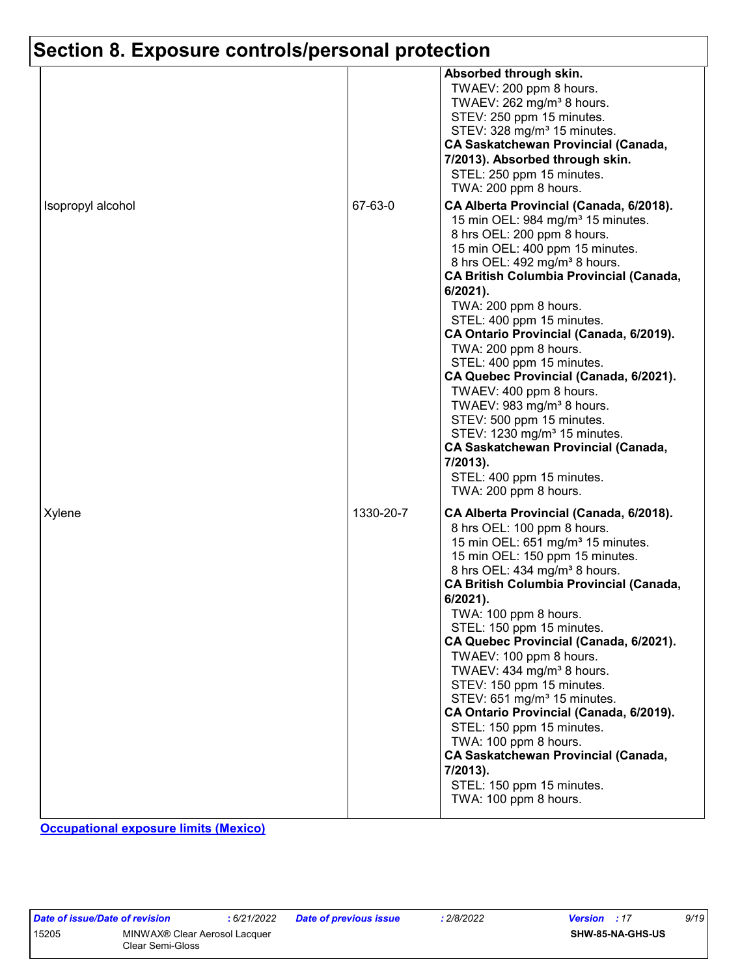|                   |           | Absorbed through skin.<br>TWAEV: 200 ppm 8 hours.<br>TWAEV: 262 mg/m <sup>3</sup> 8 hours.<br>STEV: 250 ppm 15 minutes.<br>STEV: 328 mg/m <sup>3</sup> 15 minutes.<br><b>CA Saskatchewan Provincial (Canada,</b><br>7/2013). Absorbed through skin.<br>STEL: 250 ppm 15 minutes.<br>TWA: 200 ppm 8 hours.                                                                                                                                                                                                                                                                                                                                                                                                                              |
|-------------------|-----------|----------------------------------------------------------------------------------------------------------------------------------------------------------------------------------------------------------------------------------------------------------------------------------------------------------------------------------------------------------------------------------------------------------------------------------------------------------------------------------------------------------------------------------------------------------------------------------------------------------------------------------------------------------------------------------------------------------------------------------------|
| Isopropyl alcohol | 67-63-0   | CA Alberta Provincial (Canada, 6/2018).<br>15 min OEL: 984 mg/m <sup>3</sup> 15 minutes.<br>8 hrs OEL: 200 ppm 8 hours.<br>15 min OEL: 400 ppm 15 minutes.<br>8 hrs OEL: 492 mg/m <sup>3</sup> 8 hours.<br><b>CA British Columbia Provincial (Canada,</b><br>$6/2021$ ).<br>TWA: 200 ppm 8 hours.<br>STEL: 400 ppm 15 minutes.<br>CA Ontario Provincial (Canada, 6/2019).<br>TWA: 200 ppm 8 hours.<br>STEL: 400 ppm 15 minutes.<br>CA Quebec Provincial (Canada, 6/2021).<br>TWAEV: 400 ppm 8 hours.<br>TWAEV: 983 mg/m <sup>3</sup> 8 hours.<br>STEV: 500 ppm 15 minutes.<br>STEV: 1230 mg/m <sup>3</sup> 15 minutes.<br><b>CA Saskatchewan Provincial (Canada,</b><br>7/2013).<br>STEL: 400 ppm 15 minutes.<br>TWA: 200 ppm 8 hours. |
| Xylene            | 1330-20-7 | CA Alberta Provincial (Canada, 6/2018).<br>8 hrs OEL: 100 ppm 8 hours.<br>15 min OEL: 651 mg/m <sup>3</sup> 15 minutes.<br>15 min OEL: 150 ppm 15 minutes.<br>8 hrs OEL: 434 mg/m <sup>3</sup> 8 hours.<br><b>CA British Columbia Provincial (Canada,</b><br>6/2021).<br>TWA: 100 ppm 8 hours.<br>STEL: 150 ppm 15 minutes.<br>CA Quebec Provincial (Canada, 6/2021).<br>TWAEV: 100 ppm 8 hours.<br>TWAEV: 434 mg/m <sup>3</sup> 8 hours.<br>STEV: 150 ppm 15 minutes.<br>STEV: 651 mg/m <sup>3</sup> 15 minutes.<br>CA Ontario Provincial (Canada, 6/2019).<br>STEL: 150 ppm 15 minutes.<br>TWA: 100 ppm 8 hours.<br><b>CA Saskatchewan Provincial (Canada,</b><br>7/2013).<br>STEL: 150 ppm 15 minutes.<br>TWA: 100 ppm 8 hours.     |

**Occupational exposure limits (Mexico)**

| Jate of Issue/Date of revision |                  |
|--------------------------------|------------------|
| 5205                           | MINWAX® Clear    |
|                                | Clear Semi-Gloss |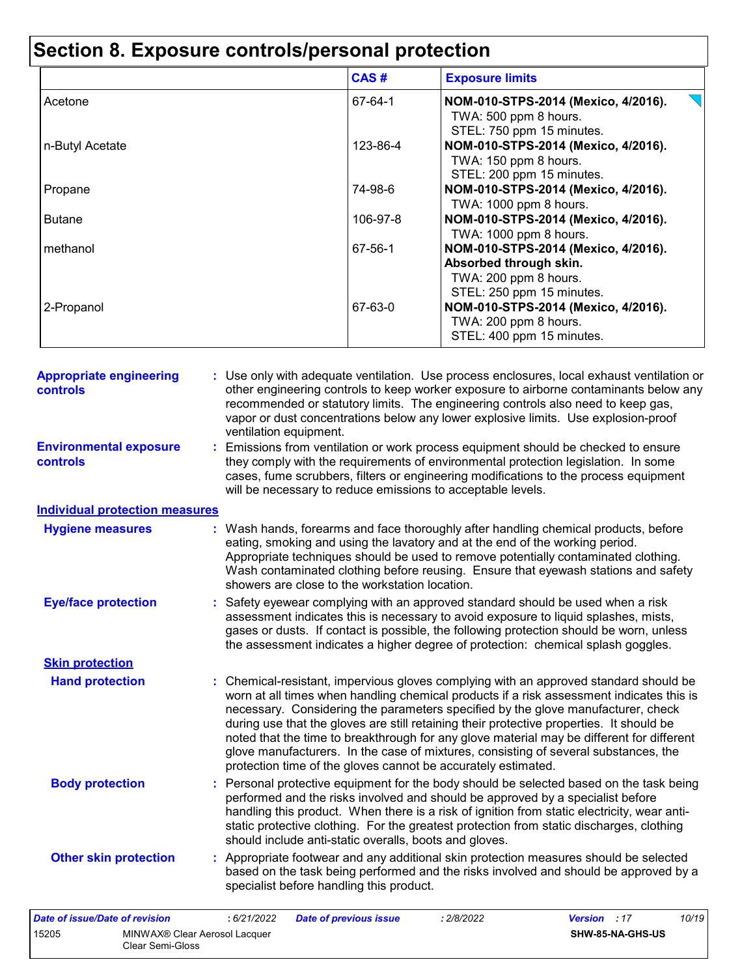|                 | CAS#     | <b>Exposure limits</b>                                                                                                                       |
|-----------------|----------|----------------------------------------------------------------------------------------------------------------------------------------------|
| Acetone         | 67-64-1  | NOM-010-STPS-2014 (Mexico, 4/2016).<br>TWA: 500 ppm 8 hours.                                                                                 |
| n-Butyl Acetate | 123-86-4 | STEL: 750 ppm 15 minutes.<br>NOM-010-STPS-2014 (Mexico, 4/2016).<br>TWA: 150 ppm 8 hours.<br>STEL: 200 ppm 15 minutes.                       |
| Propane         | 74-98-6  | NOM-010-STPS-2014 (Mexico, 4/2016).                                                                                                          |
| <b>Butane</b>   | 106-97-8 | TWA: 1000 ppm 8 hours.<br>NOM-010-STPS-2014 (Mexico, 4/2016).<br>TWA: 1000 ppm 8 hours.                                                      |
| methanol        | 67-56-1  | NOM-010-STPS-2014 (Mexico, 4/2016).                                                                                                          |
| 2-Propanol      | 67-63-0  | Absorbed through skin.<br>TWA: 200 ppm 8 hours.<br>STEL: 250 ppm 15 minutes.<br>NOM-010-STPS-2014 (Mexico, 4/2016).<br>TWA: 200 ppm 8 hours. |
|                 |          | STEL: 400 ppm 15 minutes.                                                                                                                    |

| <b>Appropriate engineering</b><br>controls | : Use only with adequate ventilation. Use process enclosures, local exhaust ventilation or<br>other engineering controls to keep worker exposure to airborne contaminants below any<br>recommended or statutory limits. The engineering controls also need to keep gas,<br>vapor or dust concentrations below any lower explosive limits. Use explosion-proof<br>ventilation equipment.                                                                                                                                                                                                                                |
|--------------------------------------------|------------------------------------------------------------------------------------------------------------------------------------------------------------------------------------------------------------------------------------------------------------------------------------------------------------------------------------------------------------------------------------------------------------------------------------------------------------------------------------------------------------------------------------------------------------------------------------------------------------------------|
| <b>Environmental exposure</b><br>controls  | : Emissions from ventilation or work process equipment should be checked to ensure<br>they comply with the requirements of environmental protection legislation. In some<br>cases, fume scrubbers, filters or engineering modifications to the process equipment<br>will be necessary to reduce emissions to acceptable levels.                                                                                                                                                                                                                                                                                        |
| <b>Individual protection measures</b>      |                                                                                                                                                                                                                                                                                                                                                                                                                                                                                                                                                                                                                        |
| <b>Hygiene measures</b>                    | : Wash hands, forearms and face thoroughly after handling chemical products, before<br>eating, smoking and using the lavatory and at the end of the working period.<br>Appropriate techniques should be used to remove potentially contaminated clothing.<br>Wash contaminated clothing before reusing. Ensure that eyewash stations and safety<br>showers are close to the workstation location.                                                                                                                                                                                                                      |
| <b>Eye/face protection</b>                 | : Safety eyewear complying with an approved standard should be used when a risk<br>assessment indicates this is necessary to avoid exposure to liquid splashes, mists,<br>gases or dusts. If contact is possible, the following protection should be worn, unless<br>the assessment indicates a higher degree of protection: chemical splash goggles.                                                                                                                                                                                                                                                                  |
| <b>Skin protection</b>                     |                                                                                                                                                                                                                                                                                                                                                                                                                                                                                                                                                                                                                        |
| <b>Hand protection</b>                     | : Chemical-resistant, impervious gloves complying with an approved standard should be<br>worn at all times when handling chemical products if a risk assessment indicates this is<br>necessary. Considering the parameters specified by the glove manufacturer, check<br>during use that the gloves are still retaining their protective properties. It should be<br>noted that the time to breakthrough for any glove material may be different for different<br>glove manufacturers. In the case of mixtures, consisting of several substances, the<br>protection time of the gloves cannot be accurately estimated. |
| <b>Body protection</b>                     | : Personal protective equipment for the body should be selected based on the task being<br>performed and the risks involved and should be approved by a specialist before<br>handling this product. When there is a risk of ignition from static electricity, wear anti-<br>static protective clothing. For the greatest protection from static discharges, clothing<br>should include anti-static overalls, boots and gloves.                                                                                                                                                                                         |
| <b>Other skin protection</b>               | : Appropriate footwear and any additional skin protection measures should be selected<br>based on the task being performed and the risks involved and should be approved by a<br>specialist before handling this product.                                                                                                                                                                                                                                                                                                                                                                                              |
| Date of issue/Date of revision             | : 6/21/2022<br><b>Date of previous issue</b><br>: 2/8/2022<br>Version : 17<br>10/19                                                                                                                                                                                                                                                                                                                                                                                                                                                                                                                                    |
|                                            |                                                                                                                                                                                                                                                                                                                                                                                                                                                                                                                                                                                                                        |

| 15205 | MINWAX <sup>®</sup> Clear Aerosol Lacquer | SHW-85-NA-GHS-US |
|-------|-------------------------------------------|------------------|
|       | Clear Semi-Gloss                          |                  |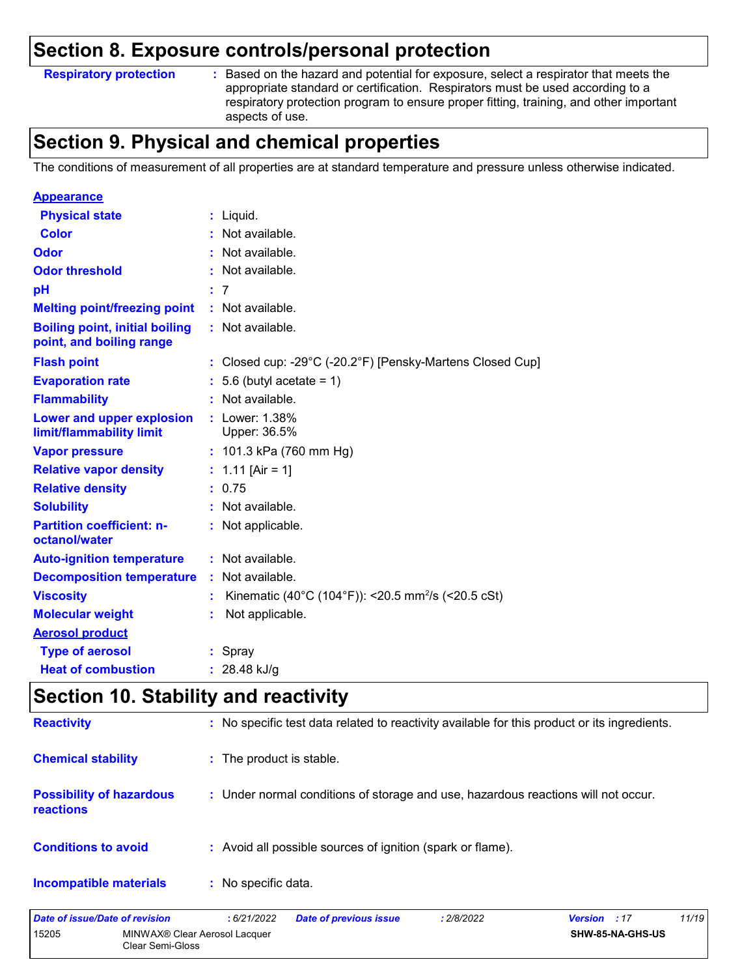#### **Respiratory protection :**

: Based on the hazard and potential for exposure, select a respirator that meets the appropriate standard or certification. Respirators must be used according to a respiratory protection program to ensure proper fitting, training, and other important aspects of use.

### **Section 9. Physical and chemical properties**

The conditions of measurement of all properties are at standard temperature and pressure unless otherwise indicated.

| <b>Appearance</b>                                                 |    |                                                                |
|-------------------------------------------------------------------|----|----------------------------------------------------------------|
| <b>Physical state</b>                                             |    | $:$ Liquid.                                                    |
| Color                                                             |    | Not available.                                                 |
| Odor                                                              |    | : Not available.                                               |
| <b>Odor threshold</b>                                             |    | Not available.                                                 |
| pH                                                                |    | : 7                                                            |
| <b>Melting point/freezing point</b>                               |    | : Not available.                                               |
| <b>Boiling point, initial boiling</b><br>point, and boiling range |    | : Not available.                                               |
| <b>Flash point</b>                                                |    | : Closed cup: -29°C (-20.2°F) [Pensky-Martens Closed Cup]      |
| <b>Evaporation rate</b>                                           |    | $: 5.6$ (butyl acetate = 1)                                    |
| <b>Flammability</b>                                               |    | $:$ Not available.                                             |
| Lower and upper explosion<br>limit/flammability limit             | ÷. | Lower: 1.38%<br>Upper: 36.5%                                   |
| <b>Vapor pressure</b>                                             |    | : 101.3 kPa (760 mm Hg)                                        |
| <b>Relative vapor density</b>                                     |    | : $1.11$ [Air = 1]                                             |
| <b>Relative density</b>                                           |    | : 0.75                                                         |
| <b>Solubility</b>                                                 |    | Not available.                                                 |
| <b>Partition coefficient: n-</b><br>octanol/water                 |    | : Not applicable.                                              |
| <b>Auto-ignition temperature</b>                                  |    | : Not available.                                               |
| <b>Decomposition temperature</b>                                  |    | Not available.                                                 |
| <b>Viscosity</b>                                                  |    | Kinematic (40°C (104°F)): <20.5 mm <sup>2</sup> /s (<20.5 cSt) |
| <b>Molecular weight</b>                                           |    | Not applicable.                                                |
| <b>Aerosol product</b>                                            |    |                                                                |
| <b>Type of aerosol</b>                                            |    | : Spray                                                        |
| <b>Heat of combustion</b>                                         |    | : $28.48$ kJ/g                                                 |

### **Section 10. Stability and reactivity**

| <b>Incompatible materials</b>                | : No specific data.                                                                          |
|----------------------------------------------|----------------------------------------------------------------------------------------------|
| <b>Conditions to avoid</b>                   | : Avoid all possible sources of ignition (spark or flame).                                   |
| <b>Possibility of hazardous</b><br>reactions | : Under normal conditions of storage and use, hazardous reactions will not occur.            |
| <b>Chemical stability</b>                    | : The product is stable.                                                                     |
| <b>Reactivity</b>                            | : No specific test data related to reactivity available for this product or its ingredients. |

| Date of issue/Date of revision |                                                   | : 6/21/2022 | Date of previous issue | 2/8/2022 | 11/19<br><b>Version</b> : 17 |
|--------------------------------|---------------------------------------------------|-------------|------------------------|----------|------------------------------|
| 15205                          | MINWAX® Clear Aerosol Lacquer<br>Clear Semi-Gloss |             |                        |          | SHW-85-NA-GHS-US             |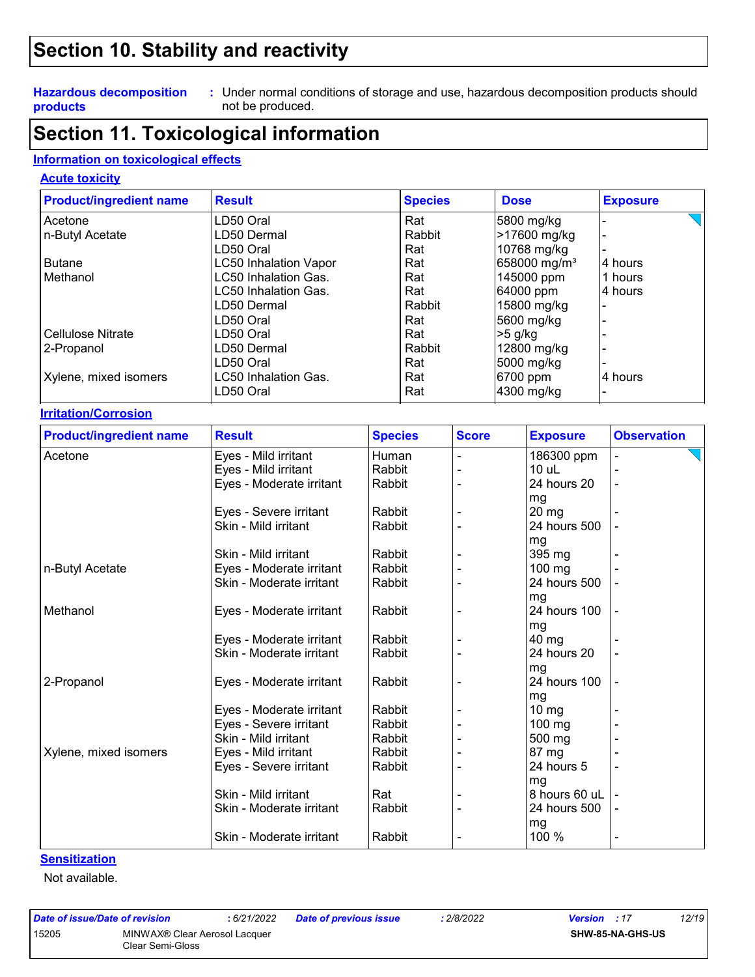### **Section 10. Stability and reactivity**

#### **Hazardous decomposition products**

Under normal conditions of storage and use, hazardous decomposition products should **:** not be produced.

### **Section 11. Toxicological information**

#### **Information on toxicological effects**

#### **Acute toxicity**

| <b>Product/ingredient name</b> | <b>Result</b>                | <b>Species</b> |              | <b>Dose</b>              | <b>Exposure</b>    |
|--------------------------------|------------------------------|----------------|--------------|--------------------------|--------------------|
| Acetone                        | LD50 Oral                    | Rat            |              | 5800 mg/kg               |                    |
| n-Butyl Acetate                | LD50 Dermal                  | Rabbit         |              | >17600 mg/kg             |                    |
|                                | LD50 Oral                    | Rat            |              | 10768 mg/kg              |                    |
| Butane                         | <b>LC50 Inhalation Vapor</b> | Rat            |              | 658000 mg/m <sup>3</sup> | 4 hours            |
| Methanol                       | LC50 Inhalation Gas.         | Rat            |              | 145000 ppm               | 1 hours            |
|                                | LC50 Inhalation Gas.         | Rat            |              | 64000 ppm                | 4 hours            |
|                                | LD50 Dermal                  | Rabbit         |              | 15800 mg/kg              |                    |
|                                | LD50 Oral                    | Rat            |              | 5600 mg/kg               |                    |
| <b>Cellulose Nitrate</b>       | LD50 Oral                    | Rat            |              | $>5$ g/kg                |                    |
| 2-Propanol                     | LD50 Dermal                  | Rabbit         | 12800 mg/kg  |                          |                    |
|                                | LD50 Oral                    | Rat            | 5000 mg/kg   |                          |                    |
| Xylene, mixed isomers          | LC50 Inhalation Gas.         | Rat            |              | 6700 ppm                 | 4 hours            |
|                                | LD50 Oral                    | Rat            |              | 4300 mg/kg               |                    |
| <b>Irritation/Corrosion</b>    |                              |                |              |                          |                    |
| <b>Product/ingredient name</b> | <b>Result</b>                | <b>Species</b> | <b>Score</b> | <b>Exposure</b>          | <b>Observation</b> |

| <b>Product/ingredient name</b> | <b>Result</b>            | <b>Species</b> | <b>Score</b> | <b>Exposure</b>   | <b>Observation</b> |
|--------------------------------|--------------------------|----------------|--------------|-------------------|--------------------|
| Acetone                        | Eyes - Mild irritant     | Human          |              | 186300 ppm        |                    |
|                                | Eyes - Mild irritant     | Rabbit         |              | 10 uL             |                    |
|                                | Eyes - Moderate irritant | Rabbit         |              | 24 hours 20       |                    |
|                                |                          |                |              | mg                |                    |
|                                | Eyes - Severe irritant   | Rabbit         |              | $20 \, mg$        |                    |
|                                | Skin - Mild irritant     | Rabbit         |              | 24 hours 500      |                    |
|                                |                          |                |              | mg                |                    |
|                                | Skin - Mild irritant     | Rabbit         |              | 395 mg            |                    |
| n-Butyl Acetate                | Eyes - Moderate irritant | Rabbit         |              | 100 mg            |                    |
|                                | Skin - Moderate irritant | Rabbit         |              | 24 hours 500      |                    |
|                                |                          |                |              | mg                |                    |
| Methanol                       | Eyes - Moderate irritant | Rabbit         |              | 24 hours 100      |                    |
|                                |                          |                |              | mg                |                    |
|                                | Eyes - Moderate irritant | Rabbit         |              | 40 mg             |                    |
|                                | Skin - Moderate irritant | Rabbit         |              | 24 hours 20       |                    |
|                                |                          |                |              | mg                |                    |
| 2-Propanol                     | Eyes - Moderate irritant | Rabbit         |              | 24 hours 100      |                    |
|                                |                          |                |              | mg                |                    |
|                                | Eyes - Moderate irritant | Rabbit         |              | $10 \, \text{mg}$ |                    |
|                                | Eyes - Severe irritant   | Rabbit         |              | $100$ mg          |                    |
|                                | Skin - Mild irritant     | Rabbit         |              | 500 mg            |                    |
| Xylene, mixed isomers          | Eyes - Mild irritant     | Rabbit         |              | 87 mg             |                    |
|                                | Eyes - Severe irritant   | Rabbit         |              | 24 hours 5        |                    |
|                                |                          |                |              | mg                |                    |
|                                | Skin - Mild irritant     | Rat            |              | 8 hours 60 uL     |                    |
|                                | Skin - Moderate irritant | Rabbit         |              | 24 hours 500      |                    |
|                                |                          |                |              | mg                |                    |
|                                | Skin - Moderate irritant | Rabbit         |              | 100 %             |                    |

#### **Sensitization**

Not available.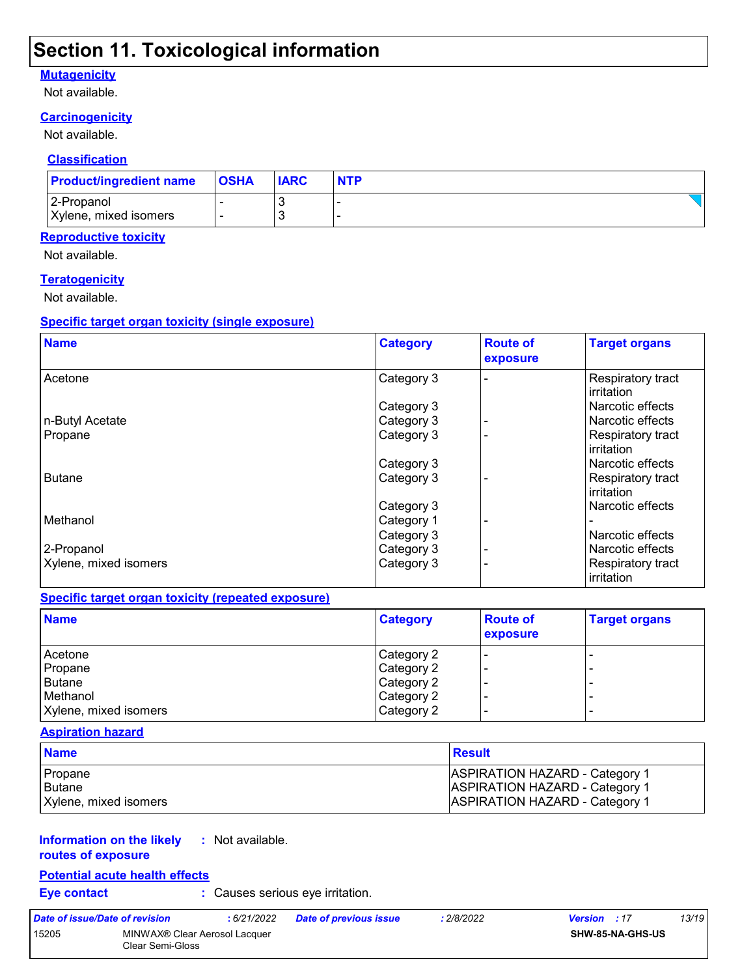### **Section 11. Toxicological information**

#### **Mutagenicity**

Not available.

### **Carcinogenicity**

Not available.

#### **Classification**

| <b>Product/ingredient name</b> | <b>OSHA</b> | <b>IARC</b> | <b>NTP</b> |
|--------------------------------|-------------|-------------|------------|
| 2-Propanol                     |             |             |            |
| Xylene, mixed isomers          |             |             |            |

#### **Reproductive toxicity**

Not available.

#### **Teratogenicity**

Not available.

#### **Specific target organ toxicity (single exposure)**

| <b>Name</b>           | <b>Category</b> | <b>Route of</b><br>exposure | <b>Target organs</b>            |
|-----------------------|-----------------|-----------------------------|---------------------------------|
| Acetone               | Category 3      |                             | Respiratory tract<br>irritation |
|                       | Category 3      |                             | Narcotic effects                |
| n-Butyl Acetate       | Category 3      |                             | Narcotic effects                |
| Propane               | Category 3      |                             | Respiratory tract<br>irritation |
|                       | Category 3      |                             | Narcotic effects                |
| <b>Butane</b>         | Category 3      |                             | Respiratory tract<br>irritation |
|                       | Category 3      |                             | Narcotic effects                |
| Methanol              | Category 1      |                             |                                 |
|                       | Category 3      |                             | Narcotic effects                |
| 2-Propanol            | Category 3      |                             | Narcotic effects                |
| Xylene, mixed isomers | Category 3      |                             | Respiratory tract<br>irritation |

#### **Specific target organ toxicity (repeated exposure)**

| <b>Name</b>           | <b>Category</b> | <b>Route of</b><br>exposure | <b>Target organs</b> |
|-----------------------|-----------------|-----------------------------|----------------------|
| Acetone               | Category 2      |                             | -                    |
| Propane               | Category 2      |                             |                      |
| Butane                | Category 2      |                             | -                    |
| Methanol              | Category 2      |                             |                      |
| Xylene, mixed isomers | Category 2      |                             | -                    |

#### **Aspiration hazard**

| <b>Name</b>           | Result                                |
|-----------------------|---------------------------------------|
| Propane               | <b>ASPIRATION HAZARD - Category 1</b> |
| l Butane              | <b>ASPIRATION HAZARD - Category 1</b> |
| Xylene, mixed isomers | <b>ASPIRATION HAZARD - Category 1</b> |

#### **Information on the likely routes of exposure :** Not available.

#### **Potential acute health effects**

**Eye contact :** Causes serious eye irritation.

| Date of issue/Date of revision |                                                   | : 6/21/2022 | <b>Date of previous issue</b> | : 2/8/2022 | <b>Version</b> : 17     | 13/19 |
|--------------------------------|---------------------------------------------------|-------------|-------------------------------|------------|-------------------------|-------|
| 15205                          | MINWAX® Clear Aerosol Lacquer<br>Clear Semi-Gloss |             |                               |            | <b>SHW-85-NA-GHS-US</b> |       |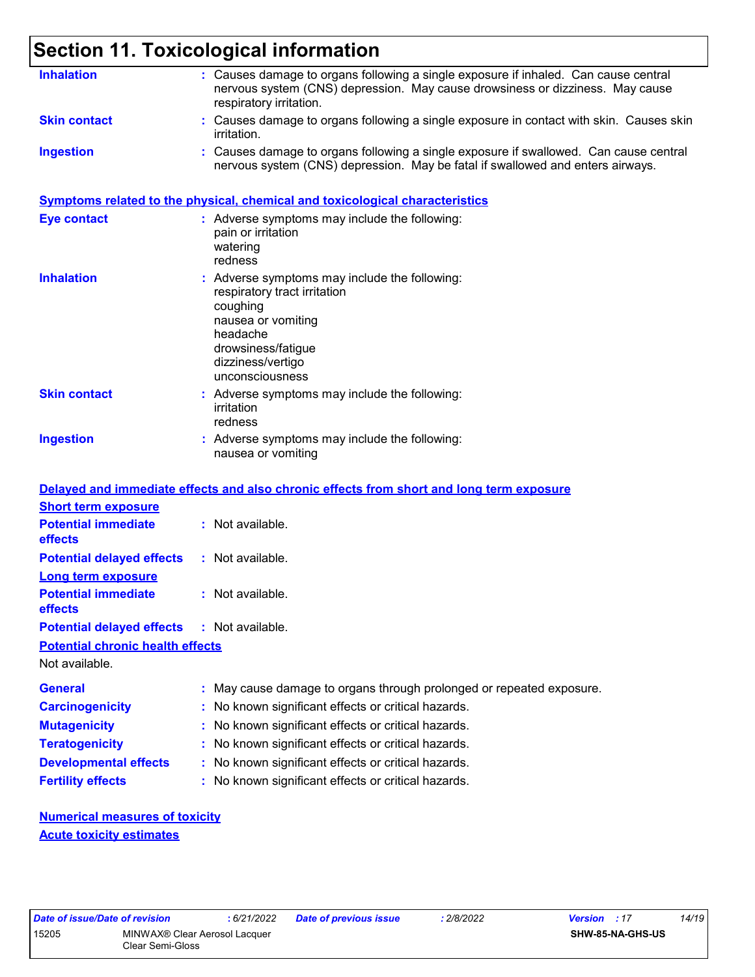### **Section 11. Toxicological information**

| <b>Inhalation</b>                                             | : Causes damage to organs following a single exposure if inhaled. Can cause central<br>nervous system (CNS) depression. May cause drowsiness or dizziness. May cause<br>respiratory irritation. |
|---------------------------------------------------------------|-------------------------------------------------------------------------------------------------------------------------------------------------------------------------------------------------|
| <b>Skin contact</b>                                           | : Causes damage to organs following a single exposure in contact with skin. Causes skin<br>irritation.                                                                                          |
| <b>Ingestion</b>                                              | : Causes damage to organs following a single exposure if swallowed. Can cause central<br>nervous system (CNS) depression. May be fatal if swallowed and enters airways.                         |
|                                                               | Symptoms related to the physical, chemical and toxicological characteristics                                                                                                                    |
| <b>Eye contact</b>                                            | : Adverse symptoms may include the following:<br>pain or irritation<br>watering<br>redness                                                                                                      |
| <b>Inhalation</b>                                             | : Adverse symptoms may include the following:<br>respiratory tract irritation<br>coughing<br>nausea or vomiting<br>headache<br>drowsiness/fatigue<br>dizziness/vertigo<br>unconsciousness       |
| <b>Skin contact</b>                                           | : Adverse symptoms may include the following:<br>irritation<br>redness                                                                                                                          |
| <b>Ingestion</b>                                              | : Adverse symptoms may include the following:<br>nausea or vomiting                                                                                                                             |
|                                                               | Delayed and immediate effects and also chronic effects from short and long term exposure                                                                                                        |
| <b>Short term exposure</b>                                    |                                                                                                                                                                                                 |
| <b>Potential immediate</b><br>effects                         | : Not available.                                                                                                                                                                                |
| <b>Potential delayed effects</b><br><b>Long term exposure</b> | : Not available.                                                                                                                                                                                |
| <b>Potential immediate</b><br>effects                         | : Not available.                                                                                                                                                                                |
| <b>Potential delayed effects</b>                              | : Not available.                                                                                                                                                                                |
| <b>Potential chronic health effects</b>                       |                                                                                                                                                                                                 |
| Not available.                                                |                                                                                                                                                                                                 |
| <b>General</b>                                                | : May cause damage to organs through prolonged or repeated exposure.                                                                                                                            |
| <b>Carcinogenicity</b>                                        | : No known significant effects or critical hazards.                                                                                                                                             |
| <b>Mutagenicity</b>                                           | : No known significant effects or critical hazards.                                                                                                                                             |
| <b>Teratogenicity</b>                                         | : No known significant effects or critical hazards.                                                                                                                                             |
| <b>Developmental effects</b>                                  | : No known significant effects or critical hazards.                                                                                                                                             |
| <b>Fertility effects</b>                                      | : No known significant effects or critical hazards.                                                                                                                                             |
| <b>Numerical measures of toxicity</b>                         |                                                                                                                                                                                                 |

**Acute toxicity estimates**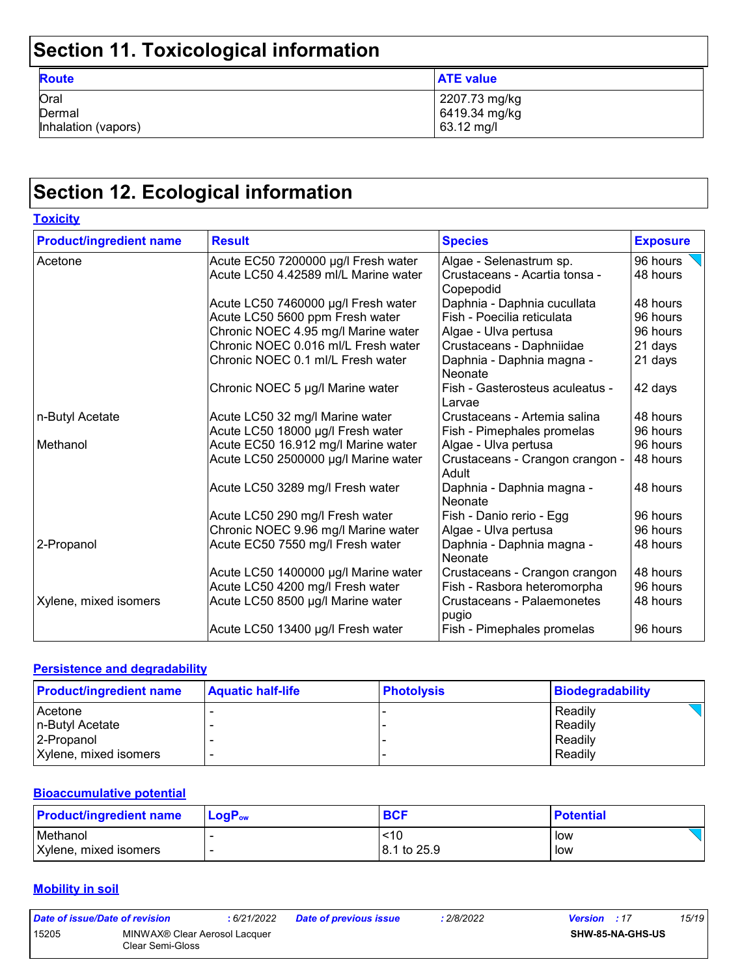## **Section 11. Toxicological information**

| -                                     |                                              |
|---------------------------------------|----------------------------------------------|
| <b>Route</b>                          | <b>ATE value</b>                             |
| Oral<br>Dermal<br>Inhalation (vapors) | 2207.73 mg/kg<br>6419.34 mg/kg<br>63.12 mg/l |

## **Section 12. Ecological information**

| <b>Toxicity</b>                |                                      |                                            |                 |
|--------------------------------|--------------------------------------|--------------------------------------------|-----------------|
| <b>Product/ingredient name</b> | <b>Result</b>                        | <b>Species</b>                             | <b>Exposure</b> |
| Acetone                        | Acute EC50 7200000 µg/l Fresh water  | Algae - Selenastrum sp.                    | 96 hours        |
|                                | Acute LC50 4.42589 ml/L Marine water | Crustaceans - Acartia tonsa -<br>Copepodid | 48 hours        |
|                                | Acute LC50 7460000 µg/l Fresh water  | Daphnia - Daphnia cucullata                | 48 hours        |
|                                | Acute LC50 5600 ppm Fresh water      | Fish - Poecilia reticulata                 | 96 hours        |
|                                | Chronic NOEC 4.95 mg/l Marine water  | Algae - Ulva pertusa                       | 96 hours        |
|                                | Chronic NOEC 0.016 ml/L Fresh water  | Crustaceans - Daphniidae                   | 21 days         |
|                                | Chronic NOEC 0.1 ml/L Fresh water    | Daphnia - Daphnia magna -<br>Neonate       | 21 days         |
|                                | Chronic NOEC 5 µg/l Marine water     | Fish - Gasterosteus aculeatus -<br>Larvae  | 42 days         |
| n-Butyl Acetate                | Acute LC50 32 mg/l Marine water      | Crustaceans - Artemia salina               | 48 hours        |
|                                | Acute LC50 18000 µg/l Fresh water    | Fish - Pimephales promelas                 | 96 hours        |
| Methanol                       | Acute EC50 16.912 mg/l Marine water  | Algae - Ulva pertusa                       | 96 hours        |
|                                | Acute LC50 2500000 µg/l Marine water | Crustaceans - Crangon crangon -<br>Adult   | 48 hours        |
|                                | Acute LC50 3289 mg/l Fresh water     | Daphnia - Daphnia magna -<br>Neonate       | 48 hours        |
|                                | Acute LC50 290 mg/l Fresh water      | Fish - Danio rerio - Egg                   | 96 hours        |
|                                | Chronic NOEC 9.96 mg/l Marine water  | Algae - Ulva pertusa                       | 96 hours        |
| 2-Propanol                     | Acute EC50 7550 mg/l Fresh water     | Daphnia - Daphnia magna -<br>Neonate       | 48 hours        |
|                                | Acute LC50 1400000 µg/l Marine water | Crustaceans - Crangon crangon              | 48 hours        |
|                                | Acute LC50 4200 mg/l Fresh water     | Fish - Rasbora heteromorpha                | 96 hours        |
| Xylene, mixed isomers          | Acute LC50 8500 µg/l Marine water    | Crustaceans - Palaemonetes<br>pugio        | 48 hours        |
|                                | Acute LC50 13400 µg/l Fresh water    | Fish - Pimephales promelas                 | 96 hours        |

#### **Persistence and degradability**

| <b>Product/ingredient name</b> | <b>Aquatic half-life</b> | <b>Photolysis</b> | Biodegradability |
|--------------------------------|--------------------------|-------------------|------------------|
| Acetone                        |                          |                   | Readily          |
| n-Butyl Acetate                |                          |                   | Readily          |
| 2-Propanol                     |                          |                   | Readily          |
| Xylene, mixed isomers          | $\overline{\phantom{0}}$ |                   | Readily          |

#### **Bioaccumulative potential**

| <b>Product/ingredient name</b> | $\mathsf{LogP}_\mathsf{ow}$ | <b>BCF</b>  | <b>Potential</b> |
|--------------------------------|-----------------------------|-------------|------------------|
| Methanol                       |                             | <10         | low              |
| Xylene, mixed isomers          |                             | 8.1 to 25.9 | low              |

#### **Mobility in soil**

| Date of issue/Date of revision |                                                   | : 6/21/2022 | <b>Date of previous issue</b> | : 2/8/2022 | <b>Version</b> : 17 |                         | 15/19 |
|--------------------------------|---------------------------------------------------|-------------|-------------------------------|------------|---------------------|-------------------------|-------|
| 15205                          | MINWAX® Clear Aerosol Lacquer<br>Clear Semi-Gloss |             |                               |            |                     | <b>SHW-85-NA-GHS-US</b> |       |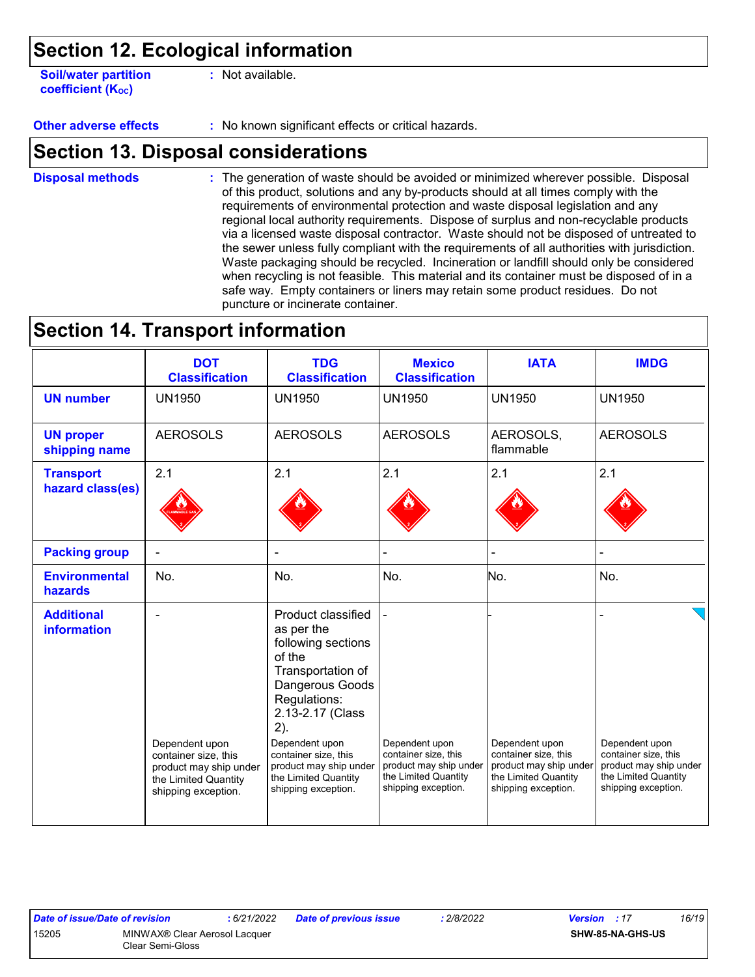### **Section 12. Ecological information**

**Soil/water partition coefficient (Koc)** 

**:** Not available.

**Other adverse effects** : No known significant effects or critical hazards.

### **Section 13. Disposal considerations**

The generation of waste should be avoided or minimized wherever possible. Disposal of this product, solutions and any by-products should at all times comply with the requirements of environmental protection and waste disposal legislation and any regional local authority requirements. Dispose of surplus and non-recyclable products via a licensed waste disposal contractor. Waste should not be disposed of untreated to the sewer unless fully compliant with the requirements of all authorities with jurisdiction. Waste packaging should be recycled. Incineration or landfill should only be considered when recycling is not feasible. This material and its container must be disposed of in a safe way. Empty containers or liners may retain some product residues. Do not puncture or incinerate container. **Disposal methods :**

### **Section 14. Transport information**

|                                         | <b>DOT</b><br><b>Classification</b>                                   | <b>TDG</b><br><b>Classification</b>                                                                                                                                                           | <b>Mexico</b><br><b>Classification</b>                                | <b>IATA</b>                                                           | <b>IMDG</b>                                                           |
|-----------------------------------------|-----------------------------------------------------------------------|-----------------------------------------------------------------------------------------------------------------------------------------------------------------------------------------------|-----------------------------------------------------------------------|-----------------------------------------------------------------------|-----------------------------------------------------------------------|
| <b>UN number</b>                        | <b>UN1950</b>                                                         | <b>UN1950</b>                                                                                                                                                                                 | <b>UN1950</b>                                                         | <b>UN1950</b>                                                         | <b>UN1950</b>                                                         |
| <b>UN proper</b><br>shipping name       | <b>AEROSOLS</b>                                                       | <b>AEROSOLS</b>                                                                                                                                                                               | <b>AEROSOLS</b>                                                       | AEROSOLS,<br>flammable                                                | <b>AEROSOLS</b>                                                       |
| <b>Transport</b><br>hazard class(es)    | 2.1                                                                   | 2.1                                                                                                                                                                                           | 2.1                                                                   | 2.1                                                                   | 2.1                                                                   |
| <b>Packing group</b>                    |                                                                       |                                                                                                                                                                                               |                                                                       |                                                                       |                                                                       |
| <b>Environmental</b><br>hazards         | No.                                                                   | No.                                                                                                                                                                                           | No.                                                                   | No.                                                                   | No.                                                                   |
| <b>Additional</b><br><b>information</b> | Dependent upon<br>container size, this                                | Product classified<br>as per the<br>following sections<br>of the<br>Transportation of<br>Dangerous Goods<br>Regulations:<br>2.13-2.17 (Class<br>2).<br>Dependent upon<br>container size, this | Dependent upon<br>container size, this                                | Dependent upon<br>container size, this                                | Dependent upon<br>container size, this                                |
|                                         | product may ship under<br>the Limited Quantity<br>shipping exception. | product may ship under<br>the Limited Quantity<br>shipping exception.                                                                                                                         | product may ship under<br>the Limited Quantity<br>shipping exception. | product may ship under<br>the Limited Quantity<br>shipping exception. | product may ship under<br>the Limited Quantity<br>shipping exception. |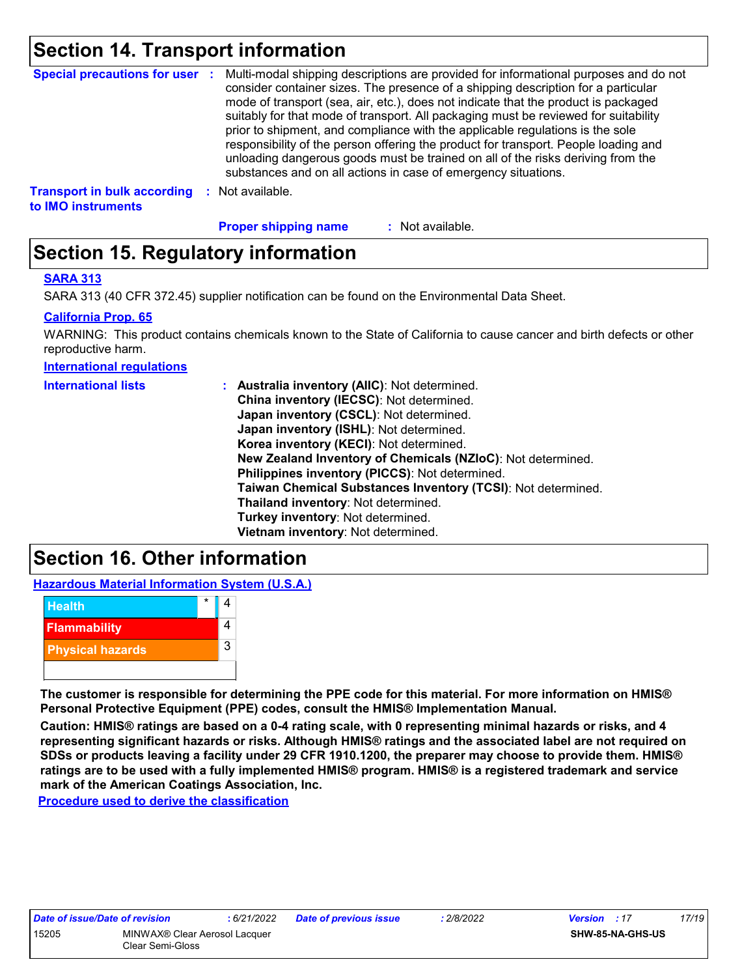### **Section 14. Transport information**

| <b>Special precautions for user :</b>                    |      | Multi-modal shipping descriptions are provided for informational purposes and do not<br>consider container sizes. The presence of a shipping description for a particular<br>mode of transport (sea, air, etc.), does not indicate that the product is packaged<br>suitably for that mode of transport. All packaging must be reviewed for suitability<br>prior to shipment, and compliance with the applicable regulations is the sole<br>responsibility of the person offering the product for transport. People loading and<br>unloading dangerous goods must be trained on all of the risks deriving from the<br>substances and on all actions in case of emergency situations. |
|----------------------------------------------------------|------|-------------------------------------------------------------------------------------------------------------------------------------------------------------------------------------------------------------------------------------------------------------------------------------------------------------------------------------------------------------------------------------------------------------------------------------------------------------------------------------------------------------------------------------------------------------------------------------------------------------------------------------------------------------------------------------|
| <b>Transport in bulk according</b><br>to IMO instruments | - 50 | Not available.                                                                                                                                                                                                                                                                                                                                                                                                                                                                                                                                                                                                                                                                      |

**Proper shipping name :**

: Not available.

### **Section 15. Regulatory information**

#### **SARA 313**

SARA 313 (40 CFR 372.45) supplier notification can be found on the Environmental Data Sheet.

#### **California Prop. 65**

WARNING: This product contains chemicals known to the State of California to cause cancer and birth defects or other reproductive harm.

**International regulations**

| <b>International lists</b> | : Australia inventory (AIIC): Not determined.                |
|----------------------------|--------------------------------------------------------------|
|                            | China inventory (IECSC): Not determined.                     |
|                            | Japan inventory (CSCL): Not determined.                      |
|                            | Japan inventory (ISHL): Not determined.                      |
|                            | Korea inventory (KECI): Not determined.                      |
|                            | New Zealand Inventory of Chemicals (NZIoC): Not determined.  |
|                            | Philippines inventory (PICCS): Not determined.               |
|                            | Taiwan Chemical Substances Inventory (TCSI): Not determined. |
|                            | Thailand inventory: Not determined.                          |
|                            | Turkey inventory: Not determined.                            |
|                            | Vietnam inventory: Not determined.                           |

### **Section 16. Other information**

**Hazardous Material Information System (U.S.A.)**



**The customer is responsible for determining the PPE code for this material. For more information on HMIS® Personal Protective Equipment (PPE) codes, consult the HMIS® Implementation Manual.**

**Caution: HMIS® ratings are based on a 0-4 rating scale, with 0 representing minimal hazards or risks, and 4 representing significant hazards or risks. Although HMIS® ratings and the associated label are not required on SDSs or products leaving a facility under 29 CFR 1910.1200, the preparer may choose to provide them. HMIS® ratings are to be used with a fully implemented HMIS® program. HMIS® is a registered trademark and service mark of the American Coatings Association, Inc.**

**Procedure used to derive the classification**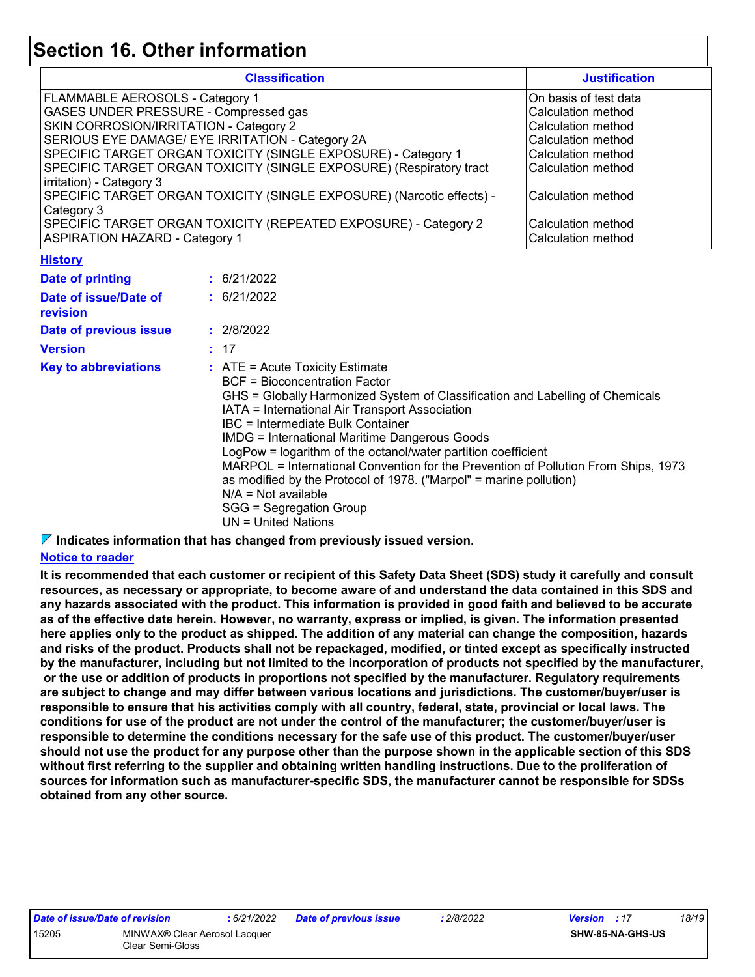### **Section 16. Other information**

| <b>Classification</b>                                                                                                                                                                                                                                                                                                                                                                                                                                                                                                                         |  |                                                                                                                                                                                                                                                                                                                                                                                                                                                                                                                                                                                                                                                     | <b>Justification</b>                                                                                                                                                                                                |  |
|-----------------------------------------------------------------------------------------------------------------------------------------------------------------------------------------------------------------------------------------------------------------------------------------------------------------------------------------------------------------------------------------------------------------------------------------------------------------------------------------------------------------------------------------------|--|-----------------------------------------------------------------------------------------------------------------------------------------------------------------------------------------------------------------------------------------------------------------------------------------------------------------------------------------------------------------------------------------------------------------------------------------------------------------------------------------------------------------------------------------------------------------------------------------------------------------------------------------------------|---------------------------------------------------------------------------------------------------------------------------------------------------------------------------------------------------------------------|--|
| FLAMMABLE AEROSOLS - Category 1<br>GASES UNDER PRESSURE - Compressed gas<br>SKIN CORROSION/IRRITATION - Category 2<br>SERIOUS EYE DAMAGE/ EYE IRRITATION - Category 2A<br>SPECIFIC TARGET ORGAN TOXICITY (SINGLE EXPOSURE) - Category 1<br>SPECIFIC TARGET ORGAN TOXICITY (SINGLE EXPOSURE) (Respiratory tract<br>irritation) - Category 3<br>SPECIFIC TARGET ORGAN TOXICITY (SINGLE EXPOSURE) (Narcotic effects) -<br>Category 3<br>SPECIFIC TARGET ORGAN TOXICITY (REPEATED EXPOSURE) - Category 2<br><b>ASPIRATION HAZARD - Category 1</b> |  |                                                                                                                                                                                                                                                                                                                                                                                                                                                                                                                                                                                                                                                     | On basis of test data<br>Calculation method<br><b>Calculation method</b><br><b>Calculation method</b><br>Calculation method<br>Calculation method<br>Calculation method<br>Calculation method<br>Calculation method |  |
| <b>History</b>                                                                                                                                                                                                                                                                                                                                                                                                                                                                                                                                |  |                                                                                                                                                                                                                                                                                                                                                                                                                                                                                                                                                                                                                                                     |                                                                                                                                                                                                                     |  |
| <b>Date of printing</b><br>Date of issue/Date of<br>revision<br>Date of previous issue<br><b>Version</b><br><b>Key to abbreviations</b>                                                                                                                                                                                                                                                                                                                                                                                                       |  | : 6/21/2022<br>: 6/21/2022<br>: 2/8/2022<br>: 17<br>: ATE = Acute Toxicity Estimate<br><b>BCF</b> = Bioconcentration Factor<br>GHS = Globally Harmonized System of Classification and Labelling of Chemicals<br>IATA = International Air Transport Association<br><b>IBC</b> = Intermediate Bulk Container<br><b>IMDG = International Maritime Dangerous Goods</b><br>LogPow = logarithm of the octanol/water partition coefficient<br>MARPOL = International Convention for the Prevention of Pollution From Ships, 1973<br>as modified by the Protocol of 1978. ("Marpol" = marine pollution)<br>$N/A = Not available$<br>SGG = Segregation Group |                                                                                                                                                                                                                     |  |

**Indicates information that has changed from previously issued version.**

#### **Notice to reader**

**It is recommended that each customer or recipient of this Safety Data Sheet (SDS) study it carefully and consult resources, as necessary or appropriate, to become aware of and understand the data contained in this SDS and any hazards associated with the product. This information is provided in good faith and believed to be accurate as of the effective date herein. However, no warranty, express or implied, is given. The information presented here applies only to the product as shipped. The addition of any material can change the composition, hazards and risks of the product. Products shall not be repackaged, modified, or tinted except as specifically instructed by the manufacturer, including but not limited to the incorporation of products not specified by the manufacturer, or the use or addition of products in proportions not specified by the manufacturer. Regulatory requirements are subject to change and may differ between various locations and jurisdictions. The customer/buyer/user is responsible to ensure that his activities comply with all country, federal, state, provincial or local laws. The conditions for use of the product are not under the control of the manufacturer; the customer/buyer/user is responsible to determine the conditions necessary for the safe use of this product. The customer/buyer/user should not use the product for any purpose other than the purpose shown in the applicable section of this SDS without first referring to the supplier and obtaining written handling instructions. Due to the proliferation of sources for information such as manufacturer-specific SDS, the manufacturer cannot be responsible for SDSs obtained from any other source.**

| Date of issue/Date of revision |                                                   | : 6/21/202 |
|--------------------------------|---------------------------------------------------|------------|
| 15205                          | MINWAX® Clear Aerosol Lacquer<br>Clear Semi-Gloss |            |